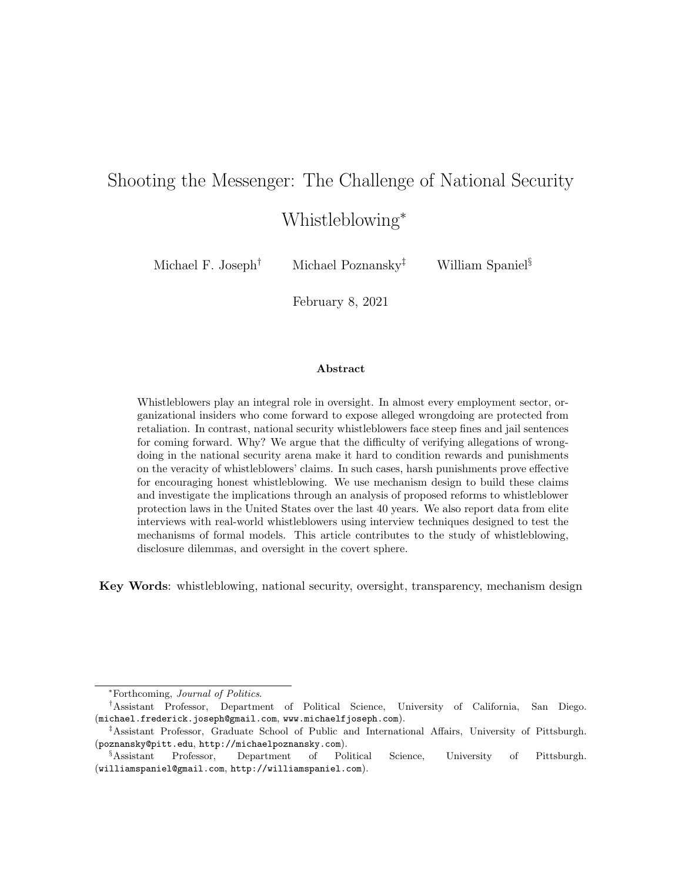# Shooting the Messenger: The Challenge of National Security

## Whistleblowing<sup>∗</sup>

Michael F. Joseph<sup>†</sup> Michael Poznansky<sup>‡</sup> William Spaniel<sup>§</sup>

February 8, 2021

## Abstract

Whistleblowers play an integral role in oversight. In almost every employment sector, organizational insiders who come forward to expose alleged wrongdoing are protected from retaliation. In contrast, national security whistleblowers face steep fines and jail sentences for coming forward. Why? We argue that the difficulty of verifying allegations of wrongdoing in the national security arena make it hard to condition rewards and punishments on the veracity of whistleblowers' claims. In such cases, harsh punishments prove effective for encouraging honest whistleblowing. We use mechanism design to build these claims and investigate the implications through an analysis of proposed reforms to whistleblower protection laws in the United States over the last 40 years. We also report data from elite interviews with real-world whistleblowers using interview techniques designed to test the mechanisms of formal models. This article contributes to the study of whistleblowing, disclosure dilemmas, and oversight in the covert sphere.

Key Words: whistleblowing, national security, oversight, transparency, mechanism design

<sup>∗</sup>Forthcoming, Journal of Politics.

<sup>†</sup>Assistant Professor, Department of Political Science, University of California, San Diego. (michael.frederick.joseph@gmail.com, www.michaelfjoseph.com).

<sup>‡</sup>Assistant Professor, Graduate School of Public and International Affairs, University of Pittsburgh. (poznansky@pitt.edu, http://michaelpoznansky.com).

<sup>§</sup>Assistant Professor, Department of Political Science, University of Pittsburgh. (williamspaniel@gmail.com, http://williamspaniel.com).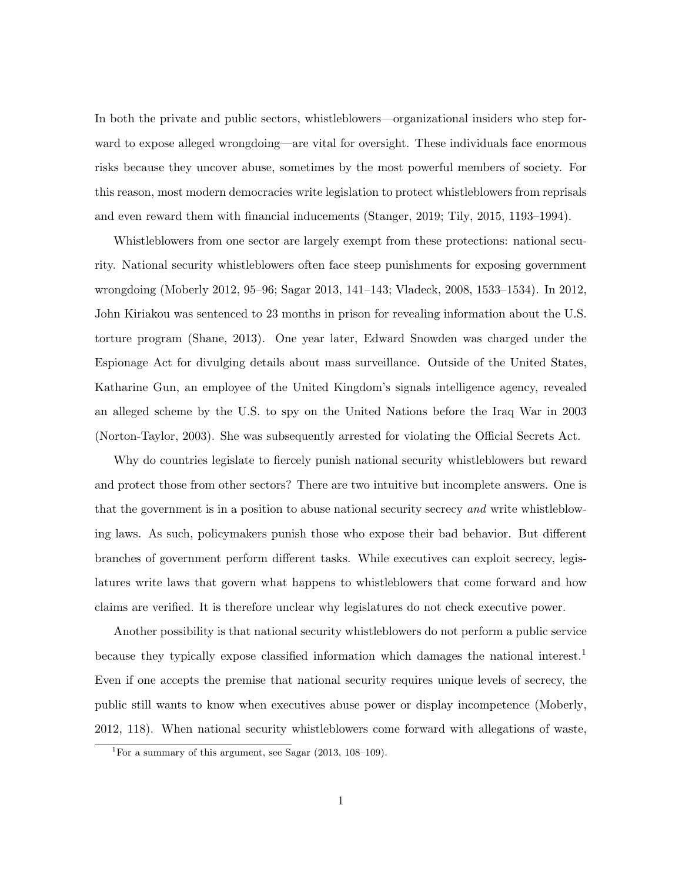In both the private and public sectors, whistleblowers—organizational insiders who step forward to expose alleged wrongdoing—are vital for oversight. These individuals face enormous risks because they uncover abuse, sometimes by the most powerful members of society. For this reason, most modern democracies write legislation to protect whistleblowers from reprisals and even reward them with financial inducements (Stanger, 2019; Tily, 2015, 1193–1994).

Whistleblowers from one sector are largely exempt from these protections: national security. National security whistleblowers often face steep punishments for exposing government wrongdoing (Moberly 2012, 95–96; Sagar 2013, 141–143; Vladeck, 2008, 1533–1534). In 2012, John Kiriakou was sentenced to 23 months in prison for revealing information about the U.S. torture program (Shane, 2013). One year later, Edward Snowden was charged under the Espionage Act for divulging details about mass surveillance. Outside of the United States, Katharine Gun, an employee of the United Kingdom's signals intelligence agency, revealed an alleged scheme by the U.S. to spy on the United Nations before the Iraq War in 2003 (Norton-Taylor, 2003). She was subsequently arrested for violating the Official Secrets Act.

Why do countries legislate to fiercely punish national security whistleblowers but reward and protect those from other sectors? There are two intuitive but incomplete answers. One is that the government is in a position to abuse national security secrecy and write whistleblowing laws. As such, policymakers punish those who expose their bad behavior. But different branches of government perform different tasks. While executives can exploit secrecy, legislatures write laws that govern what happens to whistleblowers that come forward and how claims are verified. It is therefore unclear why legislatures do not check executive power.

Another possibility is that national security whistleblowers do not perform a public service because they typically expose classified information which damages the national interest.<sup>1</sup> Even if one accepts the premise that national security requires unique levels of secrecy, the public still wants to know when executives abuse power or display incompetence (Moberly, 2012, 118). When national security whistleblowers come forward with allegations of waste,

<sup>&</sup>lt;sup>1</sup>For a summary of this argument, see Sagar  $(2013, 108-109)$ .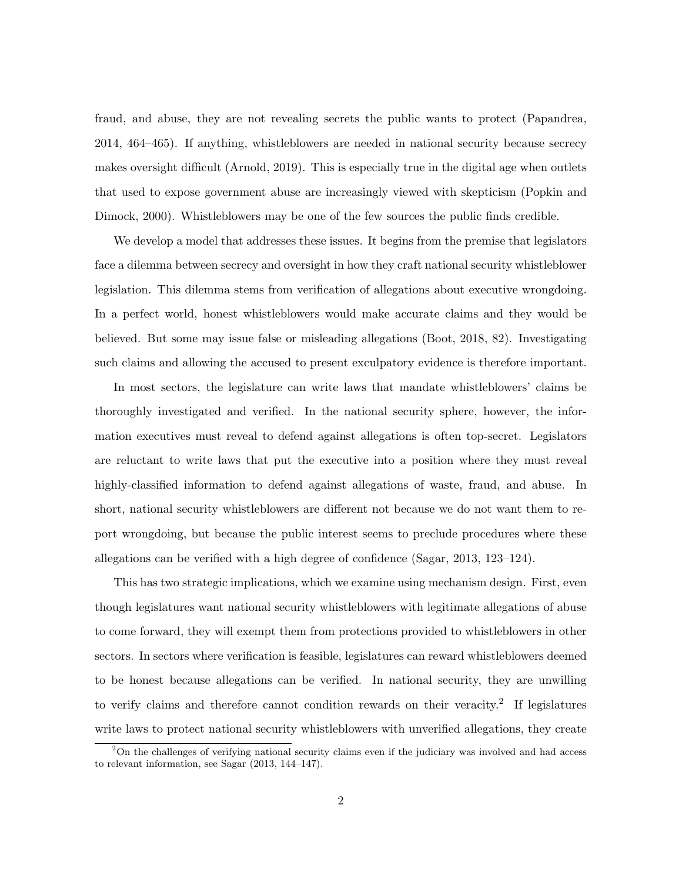fraud, and abuse, they are not revealing secrets the public wants to protect (Papandrea, 2014, 464–465). If anything, whistleblowers are needed in national security because secrecy makes oversight difficult (Arnold, 2019). This is especially true in the digital age when outlets that used to expose government abuse are increasingly viewed with skepticism (Popkin and Dimock, 2000). Whistleblowers may be one of the few sources the public finds credible.

We develop a model that addresses these issues. It begins from the premise that legislators face a dilemma between secrecy and oversight in how they craft national security whistleblower legislation. This dilemma stems from verification of allegations about executive wrongdoing. In a perfect world, honest whistleblowers would make accurate claims and they would be believed. But some may issue false or misleading allegations (Boot, 2018, 82). Investigating such claims and allowing the accused to present exculpatory evidence is therefore important.

In most sectors, the legislature can write laws that mandate whistleblowers' claims be thoroughly investigated and verified. In the national security sphere, however, the information executives must reveal to defend against allegations is often top-secret. Legislators are reluctant to write laws that put the executive into a position where they must reveal highly-classified information to defend against allegations of waste, fraud, and abuse. In short, national security whistleblowers are different not because we do not want them to report wrongdoing, but because the public interest seems to preclude procedures where these allegations can be verified with a high degree of confidence (Sagar, 2013, 123–124).

This has two strategic implications, which we examine using mechanism design. First, even though legislatures want national security whistleblowers with legitimate allegations of abuse to come forward, they will exempt them from protections provided to whistleblowers in other sectors. In sectors where verification is feasible, legislatures can reward whistleblowers deemed to be honest because allegations can be verified. In national security, they are unwilling to verify claims and therefore cannot condition rewards on their veracity.<sup>2</sup> If legislatures write laws to protect national security whistleblowers with unverified allegations, they create

<sup>&</sup>lt;sup>2</sup>On the challenges of verifying national security claims even if the judiciary was involved and had access to relevant information, see Sagar (2013, 144–147).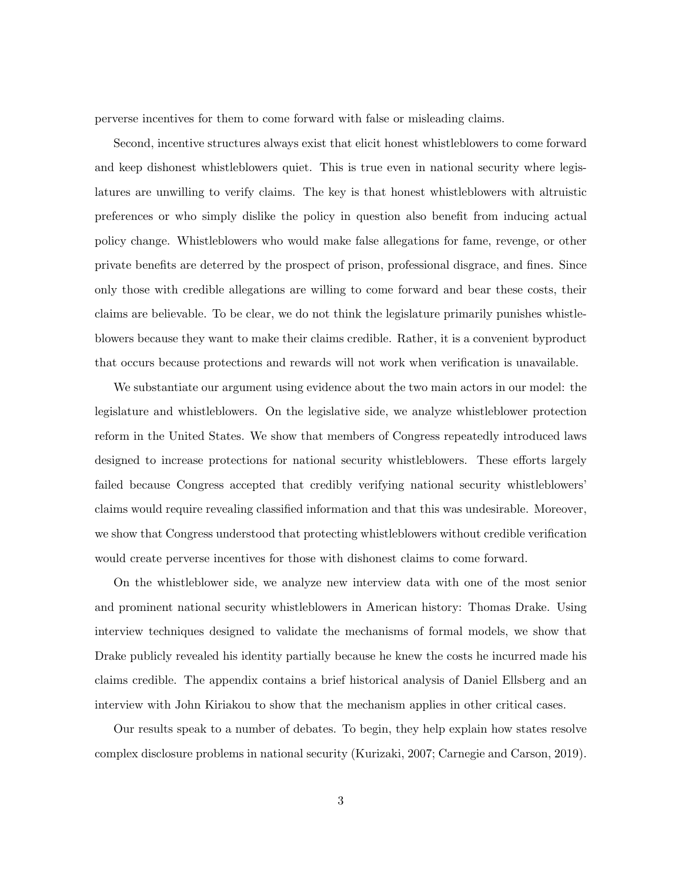perverse incentives for them to come forward with false or misleading claims.

Second, incentive structures always exist that elicit honest whistleblowers to come forward and keep dishonest whistleblowers quiet. This is true even in national security where legislatures are unwilling to verify claims. The key is that honest whistleblowers with altruistic preferences or who simply dislike the policy in question also benefit from inducing actual policy change. Whistleblowers who would make false allegations for fame, revenge, or other private benefits are deterred by the prospect of prison, professional disgrace, and fines. Since only those with credible allegations are willing to come forward and bear these costs, their claims are believable. To be clear, we do not think the legislature primarily punishes whistleblowers because they want to make their claims credible. Rather, it is a convenient byproduct that occurs because protections and rewards will not work when verification is unavailable.

We substantiate our argument using evidence about the two main actors in our model: the legislature and whistleblowers. On the legislative side, we analyze whistleblower protection reform in the United States. We show that members of Congress repeatedly introduced laws designed to increase protections for national security whistleblowers. These efforts largely failed because Congress accepted that credibly verifying national security whistleblowers' claims would require revealing classified information and that this was undesirable. Moreover, we show that Congress understood that protecting whistleblowers without credible verification would create perverse incentives for those with dishonest claims to come forward.

On the whistleblower side, we analyze new interview data with one of the most senior and prominent national security whistleblowers in American history: Thomas Drake. Using interview techniques designed to validate the mechanisms of formal models, we show that Drake publicly revealed his identity partially because he knew the costs he incurred made his claims credible. The appendix contains a brief historical analysis of Daniel Ellsberg and an interview with John Kiriakou to show that the mechanism applies in other critical cases.

Our results speak to a number of debates. To begin, they help explain how states resolve complex disclosure problems in national security (Kurizaki, 2007; Carnegie and Carson, 2019).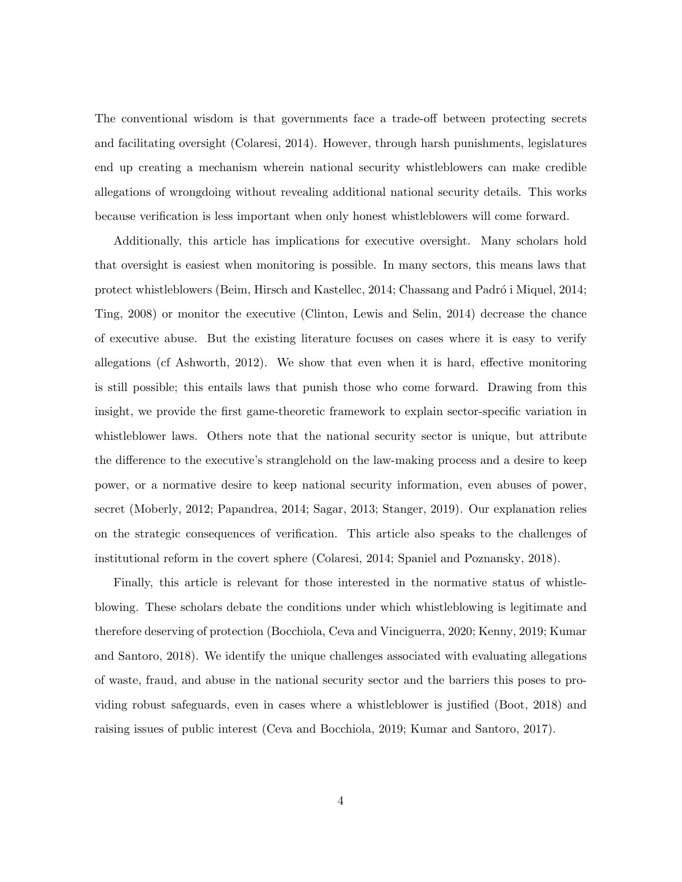The conventional wisdom is that governments face a trade-off between protecting secrets and facilitating oversight (Colaresi, 2014). However, through harsh punishments, legislatures end up creating a mechanism wherein national security whistleblowers can make credible allegations of wrongdoing without revealing additional national security details. This works because verification is less important when only honest whistleblowers will come forward.

Additionally, this article has implications for executive oversight. Many scholars hold that oversight is easiest when monitoring is possible. In many sectors, this means laws that protect whistleblowers (Beim, Hirsch and Kastellec, 2014; Chassang and Padró i Miquel, 2014; Ting, 2008) or monitor the executive (Clinton, Lewis and Selin, 2014) decrease the chance of executive abuse. But the existing literature focuses on cases where it is easy to verify allegations (cf Ashworth, 2012). We show that even when it is hard, effective monitoring is still possible; this entails laws that punish those who come forward. Drawing from this insight, we provide the first game-theoretic framework to explain sector-specific variation in whistleblower laws. Others note that the national security sector is unique, but attribute the difference to the executive's stranglehold on the law-making process and a desire to keep power, or a normative desire to keep national security information, even abuses of power, secret (Moberly, 2012; Papandrea, 2014; Sagar, 2013; Stanger, 2019). Our explanation relies on the strategic consequences of verification. This article also speaks to the challenges of institutional reform in the covert sphere (Colaresi, 2014; Spaniel and Poznansky, 2018).

Finally, this article is relevant for those interested in the normative status of whistleblowing. These scholars debate the conditions under which whistleblowing is legitimate and therefore deserving of protection (Bocchiola, Ceva and Vinciguerra, 2020; Kenny, 2019; Kumar and Santoro, 2018). We identify the unique challenges associated with evaluating allegations of waste, fraud, and abuse in the national security sector and the barriers this poses to providing robust safeguards, even in cases where a whistleblower is justified (Boot, 2018) and raising issues of public interest (Ceva and Bocchiola, 2019; Kumar and Santoro, 2017).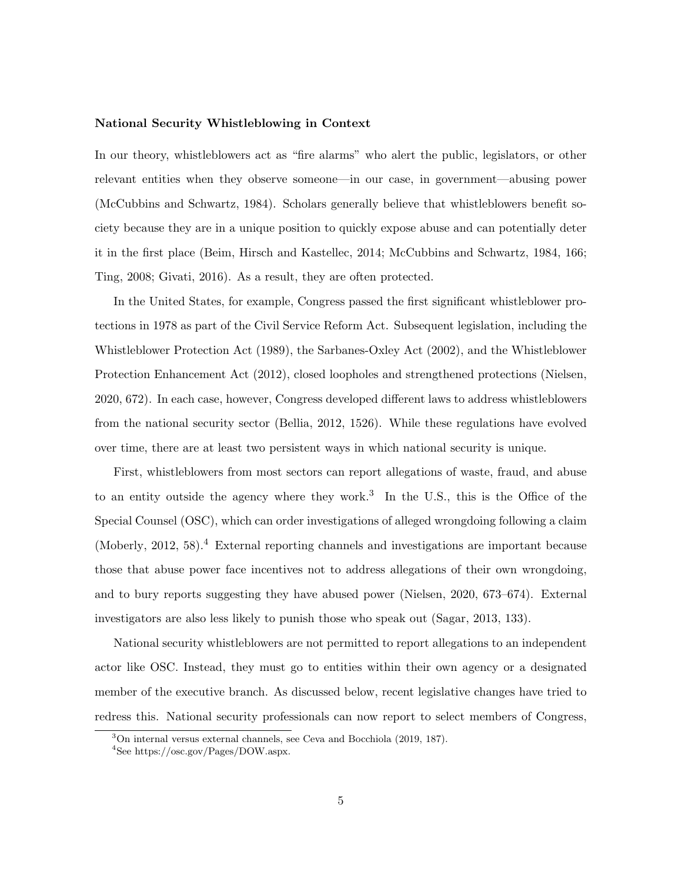## National Security Whistleblowing in Context

In our theory, whistleblowers act as "fire alarms" who alert the public, legislators, or other relevant entities when they observe someone—in our case, in government—abusing power (McCubbins and Schwartz, 1984). Scholars generally believe that whistleblowers benefit society because they are in a unique position to quickly expose abuse and can potentially deter it in the first place (Beim, Hirsch and Kastellec, 2014; McCubbins and Schwartz, 1984, 166; Ting, 2008; Givati, 2016). As a result, they are often protected.

In the United States, for example, Congress passed the first significant whistleblower protections in 1978 as part of the Civil Service Reform Act. Subsequent legislation, including the Whistleblower Protection Act (1989), the Sarbanes-Oxley Act (2002), and the Whistleblower Protection Enhancement Act (2012), closed loopholes and strengthened protections (Nielsen, 2020, 672). In each case, however, Congress developed different laws to address whistleblowers from the national security sector (Bellia, 2012, 1526). While these regulations have evolved over time, there are at least two persistent ways in which national security is unique.

First, whistleblowers from most sectors can report allegations of waste, fraud, and abuse to an entity outside the agency where they work.<sup>3</sup> In the U.S., this is the Office of the Special Counsel (OSC), which can order investigations of alleged wrongdoing following a claim (Moberly, 2012, 58).<sup>4</sup> External reporting channels and investigations are important because those that abuse power face incentives not to address allegations of their own wrongdoing, and to bury reports suggesting they have abused power (Nielsen, 2020, 673–674). External investigators are also less likely to punish those who speak out (Sagar, 2013, 133).

National security whistleblowers are not permitted to report allegations to an independent actor like OSC. Instead, they must go to entities within their own agency or a designated member of the executive branch. As discussed below, recent legislative changes have tried to redress this. National security professionals can now report to select members of Congress,

<sup>3</sup>On internal versus external channels, see Ceva and Bocchiola (2019, 187).

<sup>4</sup>See https://osc.gov/Pages/DOW.aspx.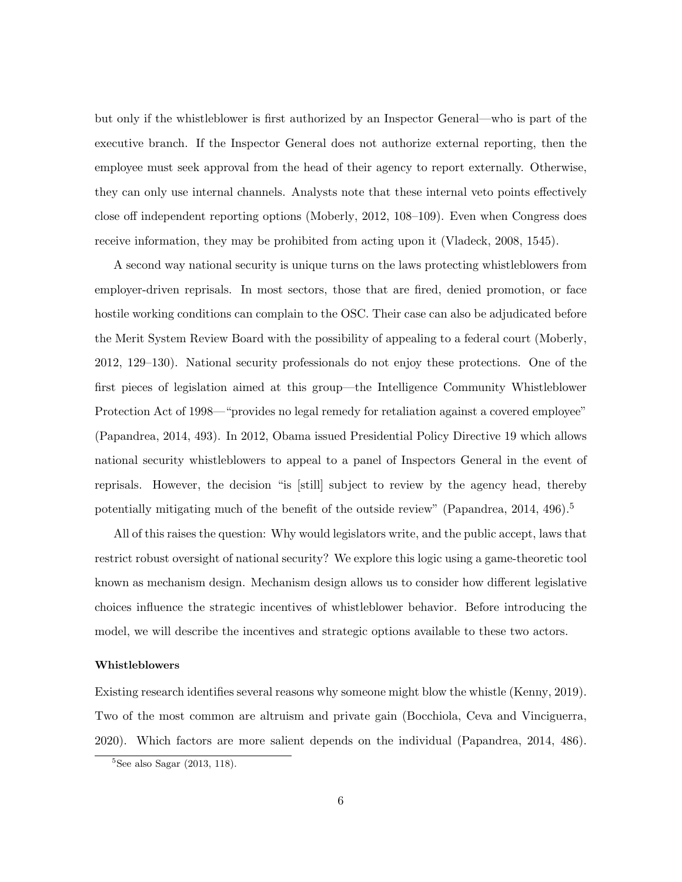but only if the whistleblower is first authorized by an Inspector General—who is part of the executive branch. If the Inspector General does not authorize external reporting, then the employee must seek approval from the head of their agency to report externally. Otherwise, they can only use internal channels. Analysts note that these internal veto points effectively close off independent reporting options (Moberly, 2012, 108–109). Even when Congress does receive information, they may be prohibited from acting upon it (Vladeck, 2008, 1545).

A second way national security is unique turns on the laws protecting whistleblowers from employer-driven reprisals. In most sectors, those that are fired, denied promotion, or face hostile working conditions can complain to the OSC. Their case can also be adjudicated before the Merit System Review Board with the possibility of appealing to a federal court (Moberly, 2012, 129–130). National security professionals do not enjoy these protections. One of the first pieces of legislation aimed at this group—the Intelligence Community Whistleblower Protection Act of 1998—"provides no legal remedy for retaliation against a covered employee" (Papandrea, 2014, 493). In 2012, Obama issued Presidential Policy Directive 19 which allows national security whistleblowers to appeal to a panel of Inspectors General in the event of reprisals. However, the decision "is [still] subject to review by the agency head, thereby potentially mitigating much of the benefit of the outside review" (Papandrea, 2014, 496).<sup>5</sup>

All of this raises the question: Why would legislators write, and the public accept, laws that restrict robust oversight of national security? We explore this logic using a game-theoretic tool known as mechanism design. Mechanism design allows us to consider how different legislative choices influence the strategic incentives of whistleblower behavior. Before introducing the model, we will describe the incentives and strategic options available to these two actors.

#### Whistleblowers

Existing research identifies several reasons why someone might blow the whistle (Kenny, 2019). Two of the most common are altruism and private gain (Bocchiola, Ceva and Vinciguerra, 2020). Which factors are more salient depends on the individual (Papandrea, 2014, 486).

 ${}^{5}$ See also Sagar (2013, 118).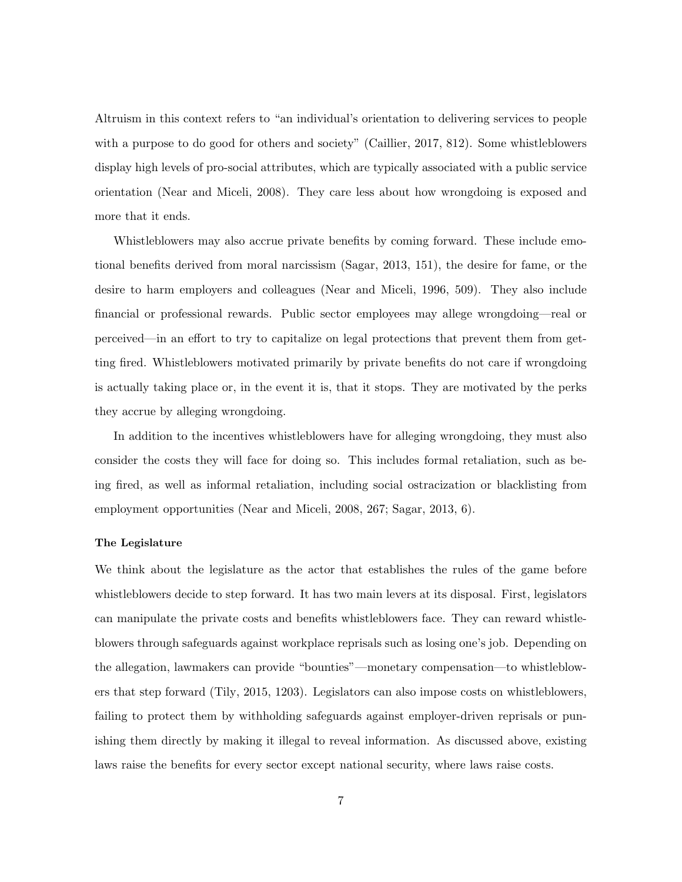Altruism in this context refers to "an individual's orientation to delivering services to people with a purpose to do good for others and society" (Caillier, 2017, 812). Some whistleblowers display high levels of pro-social attributes, which are typically associated with a public service orientation (Near and Miceli, 2008). They care less about how wrongdoing is exposed and more that it ends.

Whistleblowers may also accrue private benefits by coming forward. These include emotional benefits derived from moral narcissism (Sagar, 2013, 151), the desire for fame, or the desire to harm employers and colleagues (Near and Miceli, 1996, 509). They also include financial or professional rewards. Public sector employees may allege wrongdoing—real or perceived—in an effort to try to capitalize on legal protections that prevent them from getting fired. Whistleblowers motivated primarily by private benefits do not care if wrongdoing is actually taking place or, in the event it is, that it stops. They are motivated by the perks they accrue by alleging wrongdoing.

In addition to the incentives whistleblowers have for alleging wrongdoing, they must also consider the costs they will face for doing so. This includes formal retaliation, such as being fired, as well as informal retaliation, including social ostracization or blacklisting from employment opportunities (Near and Miceli, 2008, 267; Sagar, 2013, 6).

#### The Legislature

We think about the legislature as the actor that establishes the rules of the game before whistleblowers decide to step forward. It has two main levers at its disposal. First, legislators can manipulate the private costs and benefits whistleblowers face. They can reward whistleblowers through safeguards against workplace reprisals such as losing one's job. Depending on the allegation, lawmakers can provide "bounties"—monetary compensation—to whistleblowers that step forward (Tily, 2015, 1203). Legislators can also impose costs on whistleblowers, failing to protect them by withholding safeguards against employer-driven reprisals or punishing them directly by making it illegal to reveal information. As discussed above, existing laws raise the benefits for every sector except national security, where laws raise costs.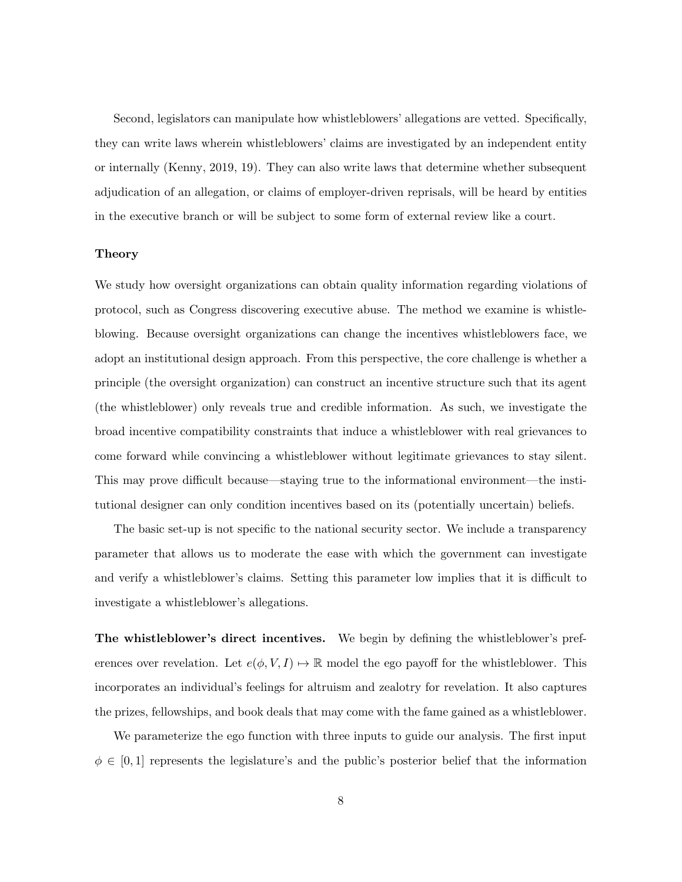Second, legislators can manipulate how whistleblowers' allegations are vetted. Specifically, they can write laws wherein whistleblowers' claims are investigated by an independent entity or internally (Kenny, 2019, 19). They can also write laws that determine whether subsequent adjudication of an allegation, or claims of employer-driven reprisals, will be heard by entities in the executive branch or will be subject to some form of external review like a court.

## Theory

We study how oversight organizations can obtain quality information regarding violations of protocol, such as Congress discovering executive abuse. The method we examine is whistleblowing. Because oversight organizations can change the incentives whistleblowers face, we adopt an institutional design approach. From this perspective, the core challenge is whether a principle (the oversight organization) can construct an incentive structure such that its agent (the whistleblower) only reveals true and credible information. As such, we investigate the broad incentive compatibility constraints that induce a whistleblower with real grievances to come forward while convincing a whistleblower without legitimate grievances to stay silent. This may prove difficult because—staying true to the informational environment—the institutional designer can only condition incentives based on its (potentially uncertain) beliefs.

The basic set-up is not specific to the national security sector. We include a transparency parameter that allows us to moderate the ease with which the government can investigate and verify a whistleblower's claims. Setting this parameter low implies that it is difficult to investigate a whistleblower's allegations.

The whistleblower's direct incentives. We begin by defining the whistleblower's preferences over revelation. Let  $e(\phi, V, I) \mapsto \mathbb{R}$  model the ego payoff for the whistleblower. This incorporates an individual's feelings for altruism and zealotry for revelation. It also captures the prizes, fellowships, and book deals that may come with the fame gained as a whistleblower.

We parameterize the ego function with three inputs to guide our analysis. The first input  $\phi \in [0, 1]$  represents the legislature's and the public's posterior belief that the information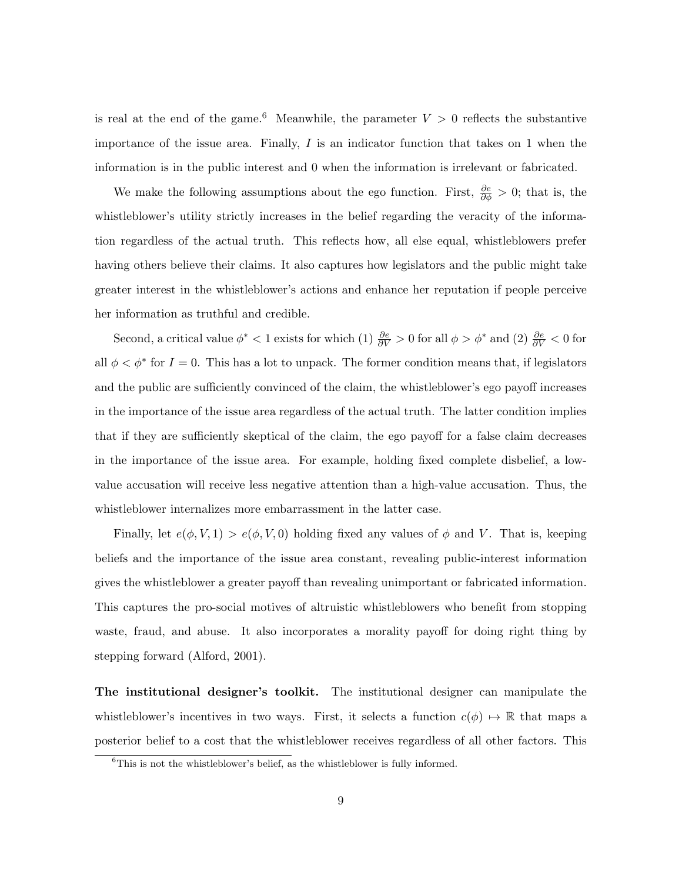is real at the end of the game.<sup>6</sup> Meanwhile, the parameter  $V > 0$  reflects the substantive importance of the issue area. Finally,  $I$  is an indicator function that takes on 1 when the information is in the public interest and 0 when the information is irrelevant or fabricated.

We make the following assumptions about the ego function. First,  $\frac{\partial e}{\partial \phi} > 0$ ; that is, the whistleblower's utility strictly increases in the belief regarding the veracity of the information regardless of the actual truth. This reflects how, all else equal, whistleblowers prefer having others believe their claims. It also captures how legislators and the public might take greater interest in the whistleblower's actions and enhance her reputation if people perceive her information as truthful and credible.

Second, a critical value  $\phi^* < 1$  exists for which (1)  $\frac{\partial e}{\partial V} > 0$  for all  $\phi > \phi^*$  and (2)  $\frac{\partial e}{\partial V} < 0$  for all  $\phi < \phi^*$  for  $I = 0$ . This has a lot to unpack. The former condition means that, if legislators and the public are sufficiently convinced of the claim, the whistleblower's ego payoff increases in the importance of the issue area regardless of the actual truth. The latter condition implies that if they are sufficiently skeptical of the claim, the ego payoff for a false claim decreases in the importance of the issue area. For example, holding fixed complete disbelief, a lowvalue accusation will receive less negative attention than a high-value accusation. Thus, the whistleblower internalizes more embarrassment in the latter case.

Finally, let  $e(\phi, V, 1) > e(\phi, V, 0)$  holding fixed any values of  $\phi$  and V. That is, keeping beliefs and the importance of the issue area constant, revealing public-interest information gives the whistleblower a greater payoff than revealing unimportant or fabricated information. This captures the pro-social motives of altruistic whistleblowers who benefit from stopping waste, fraud, and abuse. It also incorporates a morality payoff for doing right thing by stepping forward (Alford, 2001).

The institutional designer's toolkit. The institutional designer can manipulate the whistleblower's incentives in two ways. First, it selects a function  $c(\phi) \mapsto \mathbb{R}$  that maps a posterior belief to a cost that the whistleblower receives regardless of all other factors. This

 ${}^{6}$ This is not the whistleblower's belief, as the whistleblower is fully informed.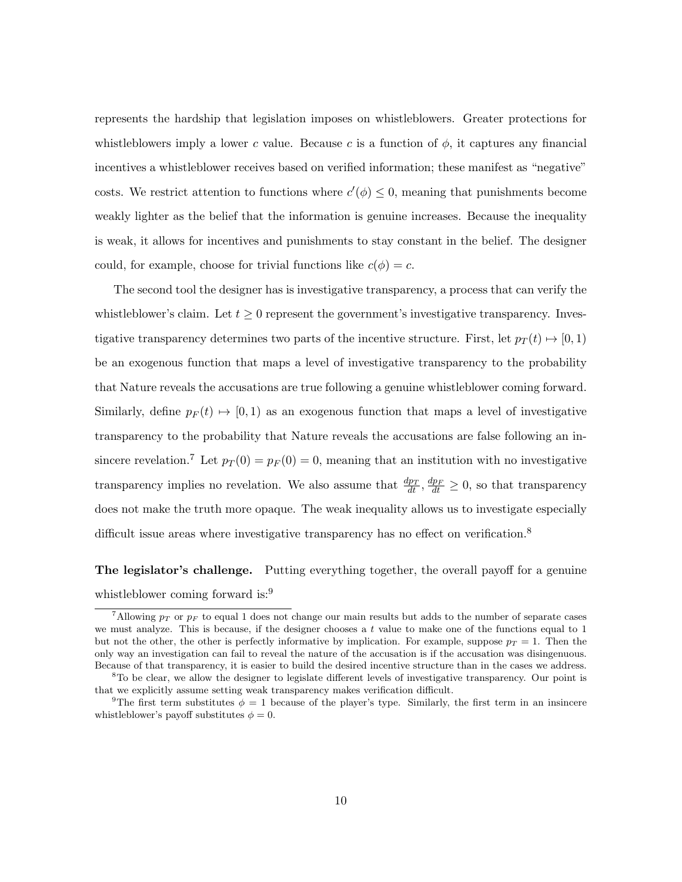represents the hardship that legislation imposes on whistleblowers. Greater protections for whistleblowers imply a lower c value. Because c is a function of  $\phi$ , it captures any financial incentives a whistleblower receives based on verified information; these manifest as "negative" costs. We restrict attention to functions where  $c'(\phi) \leq 0$ , meaning that punishments become weakly lighter as the belief that the information is genuine increases. Because the inequality is weak, it allows for incentives and punishments to stay constant in the belief. The designer could, for example, choose for trivial functions like  $c(\phi) = c$ .

The second tool the designer has is investigative transparency, a process that can verify the whistleblower's claim. Let  $t \geq 0$  represent the government's investigative transparency. Investigative transparency determines two parts of the incentive structure. First, let  $p_T(t) \mapsto [0, 1)$ be an exogenous function that maps a level of investigative transparency to the probability that Nature reveals the accusations are true following a genuine whistleblower coming forward. Similarly, define  $p_F(t) \mapsto [0, 1)$  as an exogenous function that maps a level of investigative transparency to the probability that Nature reveals the accusations are false following an insincere revelation.<sup>7</sup> Let  $p_T(0) = p_F(0) = 0$ , meaning that an institution with no investigative transparency implies no revelation. We also assume that  $\frac{dp_T}{dt}$ ,  $\frac{dp_F}{dt} \ge 0$ , so that transparency does not make the truth more opaque. The weak inequality allows us to investigate especially difficult issue areas where investigative transparency has no effect on verification.<sup>8</sup>

## The legislator's challenge. Putting everything together, the overall payoff for a genuine whistleblower coming forward is:<sup>9</sup>

<sup>&</sup>lt;sup>7</sup>Allowing  $p_T$  or  $p_F$  to equal 1 does not change our main results but adds to the number of separate cases we must analyze. This is because, if the designer chooses a t value to make one of the functions equal to 1 but not the other, the other is perfectly informative by implication. For example, suppose  $p_T = 1$ . Then the only way an investigation can fail to reveal the nature of the accusation is if the accusation was disingenuous. Because of that transparency, it is easier to build the desired incentive structure than in the cases we address.

<sup>&</sup>lt;sup>8</sup>To be clear, we allow the designer to legislate different levels of investigative transparency. Our point is that we explicitly assume setting weak transparency makes verification difficult.

<sup>&</sup>lt;sup>9</sup>The first term substitutes  $\phi = 1$  because of the player's type. Similarly, the first term in an insincere whistleblower's payoff substitutes  $\phi = 0$ .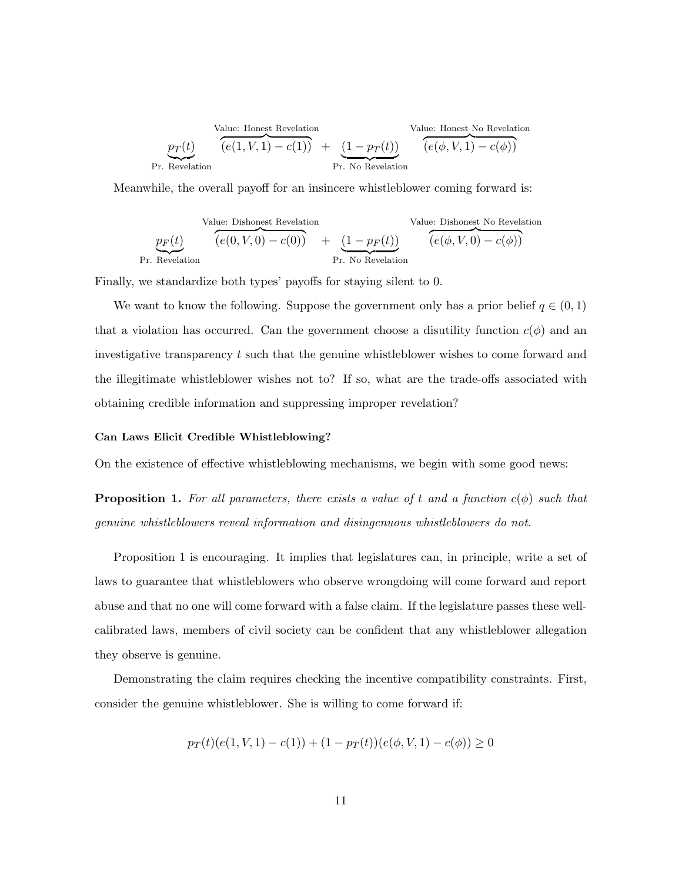Value: Honest Revelation  
\n
$$
p_T(t)
$$
  
\n $\overbrace{(e(1, V, 1) - c(1))}^{Value: Honest No Revelation}$   
\n $\overbrace{(e(4, V, 1) - c(4))}^{Value: Honest No Revelation}$   
\nPr. No Revelation

Meanwhile, the overall payoff for an insincere whistleblower coming forward is:

Value: Dishonest Revelation  
\n
$$
p_F(t)
$$
\n
$$
(e(0, V, 0) - c(0)) + (1 - p_F(t))
$$
\n
$$
Pr. Revelation
$$
\n
$$
Pr. No Revelation
$$

Finally, we standardize both types' payoffs for staying silent to 0.

We want to know the following. Suppose the government only has a prior belief  $q \in (0,1)$ that a violation has occurred. Can the government choose a disutility function  $c(\phi)$  and an investigative transparency t such that the genuine whistleblower wishes to come forward and the illegitimate whistleblower wishes not to? If so, what are the trade-offs associated with obtaining credible information and suppressing improper revelation?

### Can Laws Elicit Credible Whistleblowing?

On the existence of effective whistleblowing mechanisms, we begin with some good news:

**Proposition 1.** For all parameters, there exists a value of t and a function  $c(\phi)$  such that genuine whistleblowers reveal information and disingenuous whistleblowers do not.

Proposition 1 is encouraging. It implies that legislatures can, in principle, write a set of laws to guarantee that whistleblowers who observe wrongdoing will come forward and report abuse and that no one will come forward with a false claim. If the legislature passes these wellcalibrated laws, members of civil society can be confident that any whistleblower allegation they observe is genuine.

Demonstrating the claim requires checking the incentive compatibility constraints. First, consider the genuine whistleblower. She is willing to come forward if:

$$
p_T(t)(e(1, V, 1) - c(1)) + (1 - p_T(t))(e(\phi, V, 1) - c(\phi)) \ge 0
$$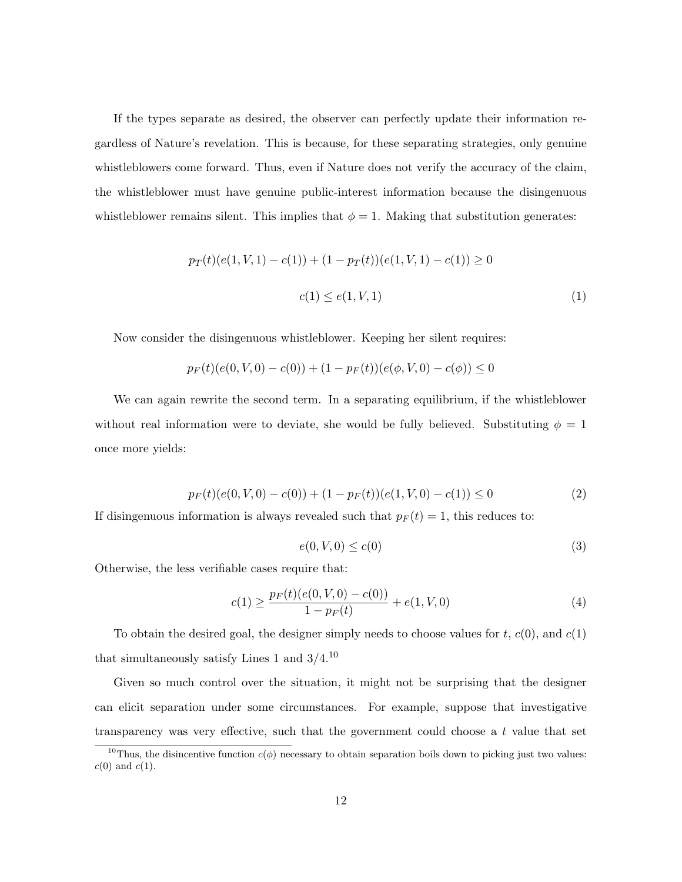If the types separate as desired, the observer can perfectly update their information regardless of Nature's revelation. This is because, for these separating strategies, only genuine whistleblowers come forward. Thus, even if Nature does not verify the accuracy of the claim, the whistleblower must have genuine public-interest information because the disingenuous whistleblower remains silent. This implies that  $\phi = 1$ . Making that substitution generates:

$$
p_T(t)(e(1, V, 1) - c(1)) + (1 - p_T(t))(e(1, V, 1) - c(1)) \ge 0
$$
  

$$
c(1) \le e(1, V, 1)
$$
 (1)

Now consider the disingenuous whistleblower. Keeping her silent requires:

$$
p_F(t)(e(0, V, 0) - c(0)) + (1 - p_F(t))(e(\phi, V, 0) - c(\phi)) \le 0
$$

We can again rewrite the second term. In a separating equilibrium, if the whistleblower without real information were to deviate, she would be fully believed. Substituting  $\phi = 1$ once more yields:

$$
p_F(t)(e(0, V, 0) - c(0)) + (1 - p_F(t))(e(1, V, 0) - c(1)) \le 0
$$
\n<sup>(2)</sup>

If disingenuous information is always revealed such that  $p_F(t) = 1$ , this reduces to:

$$
e(0, V, 0) \le c(0) \tag{3}
$$

Otherwise, the less verifiable cases require that:

$$
c(1) \ge \frac{p_F(t)(e(0, V, 0) - c(0))}{1 - p_F(t)} + e(1, V, 0)
$$
\n<sup>(4)</sup>

To obtain the desired goal, the designer simply needs to choose values for  $t, c(0)$ , and  $c(1)$ that simultaneously satisfy Lines 1 and  $3/4$ .<sup>10</sup>

Given so much control over the situation, it might not be surprising that the designer can elicit separation under some circumstances. For example, suppose that investigative transparency was very effective, such that the government could choose a t value that set

<sup>&</sup>lt;sup>10</sup>Thus, the disincentive function  $c(\phi)$  necessary to obtain separation boils down to picking just two values:  $c(0)$  and  $c(1)$ .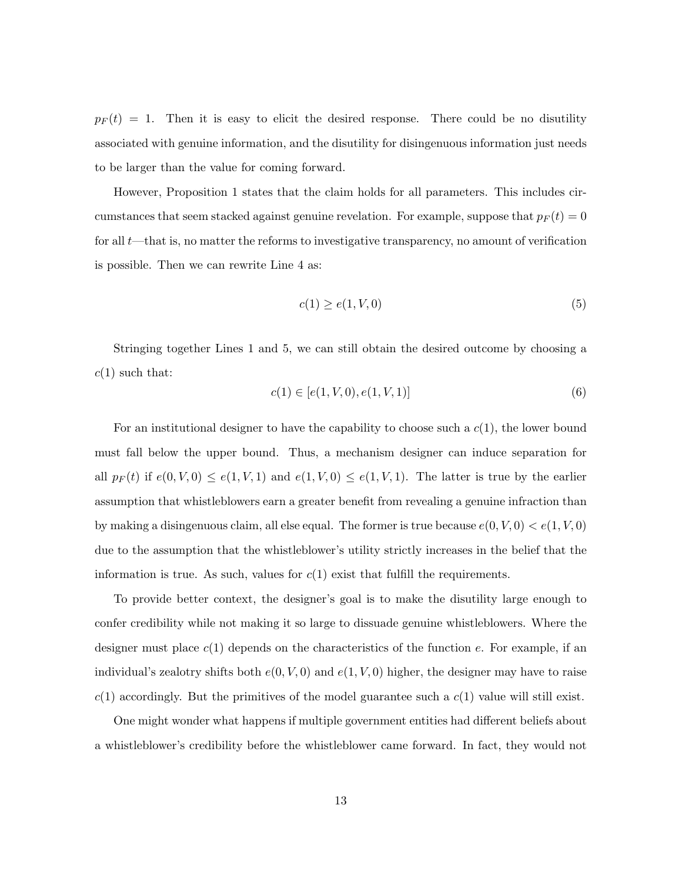$p_F(t) = 1$ . Then it is easy to elicit the desired response. There could be no disutility associated with genuine information, and the disutility for disingenuous information just needs to be larger than the value for coming forward.

However, Proposition 1 states that the claim holds for all parameters. This includes circumstances that seem stacked against genuine revelation. For example, suppose that  $p_F(t) = 0$ for all  $t$ —that is, no matter the reforms to investigative transparency, no amount of verification is possible. Then we can rewrite Line 4 as:

$$
c(1) \ge e(1, V, 0) \tag{5}
$$

Stringing together Lines 1 and 5, we can still obtain the desired outcome by choosing a  $c(1)$  such that:

$$
c(1) \in [e(1, V, 0), e(1, V, 1)] \tag{6}
$$

For an institutional designer to have the capability to choose such a  $c(1)$ , the lower bound must fall below the upper bound. Thus, a mechanism designer can induce separation for all  $p_F(t)$  if  $e(0, V, 0) \le e(1, V, 1)$  and  $e(1, V, 0) \le e(1, V, 1)$ . The latter is true by the earlier assumption that whistleblowers earn a greater benefit from revealing a genuine infraction than by making a disingenuous claim, all else equal. The former is true because  $e(0, V, 0) < e(1, V, 0)$ due to the assumption that the whistleblower's utility strictly increases in the belief that the information is true. As such, values for  $c(1)$  exist that fulfill the requirements.

To provide better context, the designer's goal is to make the disutility large enough to confer credibility while not making it so large to dissuade genuine whistleblowers. Where the designer must place  $c(1)$  depends on the characteristics of the function e. For example, if an individual's zealotry shifts both  $e(0, V, 0)$  and  $e(1, V, 0)$  higher, the designer may have to raise  $c(1)$  accordingly. But the primitives of the model guarantee such a  $c(1)$  value will still exist.

One might wonder what happens if multiple government entities had different beliefs about a whistleblower's credibility before the whistleblower came forward. In fact, they would not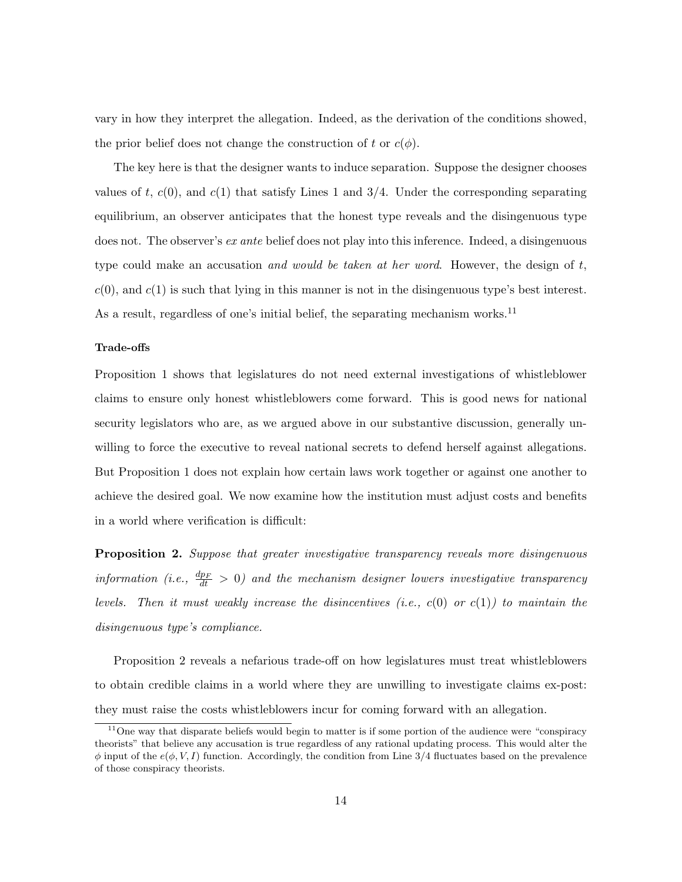vary in how they interpret the allegation. Indeed, as the derivation of the conditions showed, the prior belief does not change the construction of t or  $c(\phi)$ .

The key here is that the designer wants to induce separation. Suppose the designer chooses values of t,  $c(0)$ , and  $c(1)$  that satisfy Lines 1 and 3/4. Under the corresponding separating equilibrium, an observer anticipates that the honest type reveals and the disingenuous type does not. The observer's *ex ante* belief does not play into this inference. Indeed, a disingenuous type could make an accusation and would be taken at her word. However, the design of  $t$ ,  $c(0)$ , and  $c(1)$  is such that lying in this manner is not in the disingenuous type's best interest. As a result, regardless of one's initial belief, the separating mechanism works.<sup>11</sup>

## Trade-offs

Proposition 1 shows that legislatures do not need external investigations of whistleblower claims to ensure only honest whistleblowers come forward. This is good news for national security legislators who are, as we argued above in our substantive discussion, generally unwilling to force the executive to reveal national secrets to defend herself against allegations. But Proposition 1 does not explain how certain laws work together or against one another to achieve the desired goal. We now examine how the institution must adjust costs and benefits in a world where verification is difficult:

**Proposition 2.** Suppose that greater investigative transparency reveals more disingenuous information (i.e.,  $\frac{dp_F}{dt} > 0$ ) and the mechanism designer lowers investigative transparency levels. Then it must weakly increase the disincentives (i.e.,  $c(0)$  or  $c(1)$ ) to maintain the disingenuous type's compliance.

Proposition 2 reveals a nefarious trade-off on how legislatures must treat whistleblowers to obtain credible claims in a world where they are unwilling to investigate claims ex-post: they must raise the costs whistleblowers incur for coming forward with an allegation.

<sup>&</sup>lt;sup>11</sup>One way that disparate beliefs would begin to matter is if some portion of the audience were "conspiracy" theorists" that believe any accusation is true regardless of any rational updating process. This would alter the  $\phi$  input of the  $e(\phi, V, I)$  function. Accordingly, the condition from Line 3/4 fluctuates based on the prevalence of those conspiracy theorists.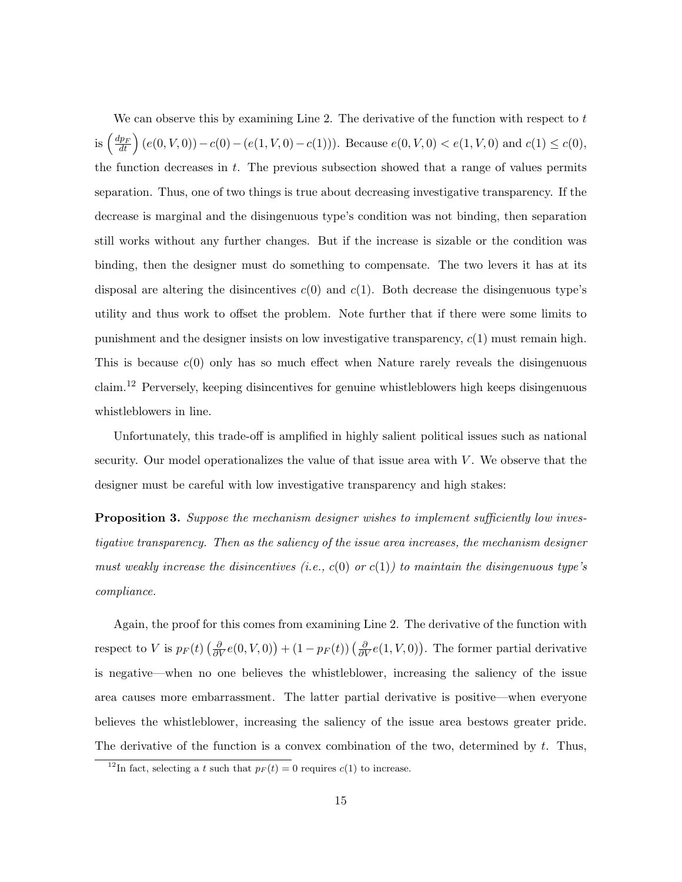We can observe this by examining Line 2. The derivative of the function with respect to  $t$ is  $\left(\frac{dp_F}{dt}\right)(e(0, V, 0)) - c(0) - (e(1, V, 0) - c(1)))$ . Because  $e(0, V, 0) < e(1, V, 0)$  and  $c(1) \leq c(0)$ , the function decreases in  $t$ . The previous subsection showed that a range of values permits separation. Thus, one of two things is true about decreasing investigative transparency. If the decrease is marginal and the disingenuous type's condition was not binding, then separation still works without any further changes. But if the increase is sizable or the condition was binding, then the designer must do something to compensate. The two levers it has at its disposal are altering the disincentives  $c(0)$  and  $c(1)$ . Both decrease the disingenuous type's utility and thus work to offset the problem. Note further that if there were some limits to punishment and the designer insists on low investigative transparency,  $c(1)$  must remain high. This is because  $c(0)$  only has so much effect when Nature rarely reveals the disingenuous claim.<sup>12</sup> Perversely, keeping disincentives for genuine whistleblowers high keeps disingenuous whistleblowers in line.

Unfortunately, this trade-off is amplified in highly salient political issues such as national security. Our model operationalizes the value of that issue area with  $V$ . We observe that the designer must be careful with low investigative transparency and high stakes:

Proposition 3. Suppose the mechanism designer wishes to implement sufficiently low investigative transparency. Then as the saliency of the issue area increases, the mechanism designer must weakly increase the disincentives (i.e.,  $c(0)$  or  $c(1)$ ) to maintain the disingenuous type's compliance.

Again, the proof for this comes from examining Line 2. The derivative of the function with respect to V is  $p_F(t) \left(\frac{\partial}{\partial V}e(0, V, 0)\right) + (1 - p_F(t)) \left(\frac{\partial}{\partial V}e(1, V, 0)\right)$ . The former partial derivative is negative—when no one believes the whistleblower, increasing the saliency of the issue area causes more embarrassment. The latter partial derivative is positive—when everyone believes the whistleblower, increasing the saliency of the issue area bestows greater pride. The derivative of the function is a convex combination of the two, determined by  $t$ . Thus,

<sup>&</sup>lt;sup>12</sup>In fact, selecting a t such that  $p_F(t) = 0$  requires  $c(1)$  to increase.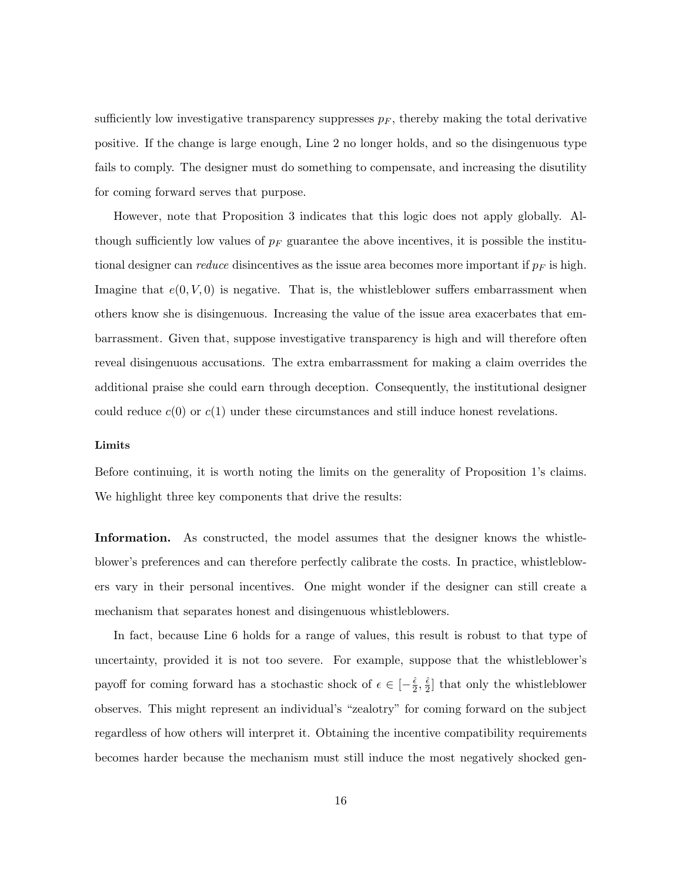sufficiently low investigative transparency suppresses  $p_F$ , thereby making the total derivative positive. If the change is large enough, Line 2 no longer holds, and so the disingenuous type fails to comply. The designer must do something to compensate, and increasing the disutility for coming forward serves that purpose.

However, note that Proposition 3 indicates that this logic does not apply globally. Although sufficiently low values of  $p_F$  guarantee the above incentives, it is possible the institutional designer can *reduce* disincentives as the issue area becomes more important if  $p_F$  is high. Imagine that  $e(0, V, 0)$  is negative. That is, the whistleblower suffers embarrassment when others know she is disingenuous. Increasing the value of the issue area exacerbates that embarrassment. Given that, suppose investigative transparency is high and will therefore often reveal disingenuous accusations. The extra embarrassment for making a claim overrides the additional praise she could earn through deception. Consequently, the institutional designer could reduce  $c(0)$  or  $c(1)$  under these circumstances and still induce honest revelations.

#### Limits

Before continuing, it is worth noting the limits on the generality of Proposition 1's claims. We highlight three key components that drive the results:

Information. As constructed, the model assumes that the designer knows the whistleblower's preferences and can therefore perfectly calibrate the costs. In practice, whistleblowers vary in their personal incentives. One might wonder if the designer can still create a mechanism that separates honest and disingenuous whistleblowers.

In fact, because Line 6 holds for a range of values, this result is robust to that type of uncertainty, provided it is not too severe. For example, suppose that the whistleblower's payoff for coming forward has a stochastic shock of  $\epsilon \in \left[-\frac{\hat{\epsilon}}{2}\right]$  $\frac{\hat{\epsilon}}{2}, \frac{\hat{\epsilon}}{2}$  $\frac{e}{2}$  that only the whistleblower observes. This might represent an individual's "zealotry" for coming forward on the subject regardless of how others will interpret it. Obtaining the incentive compatibility requirements becomes harder because the mechanism must still induce the most negatively shocked gen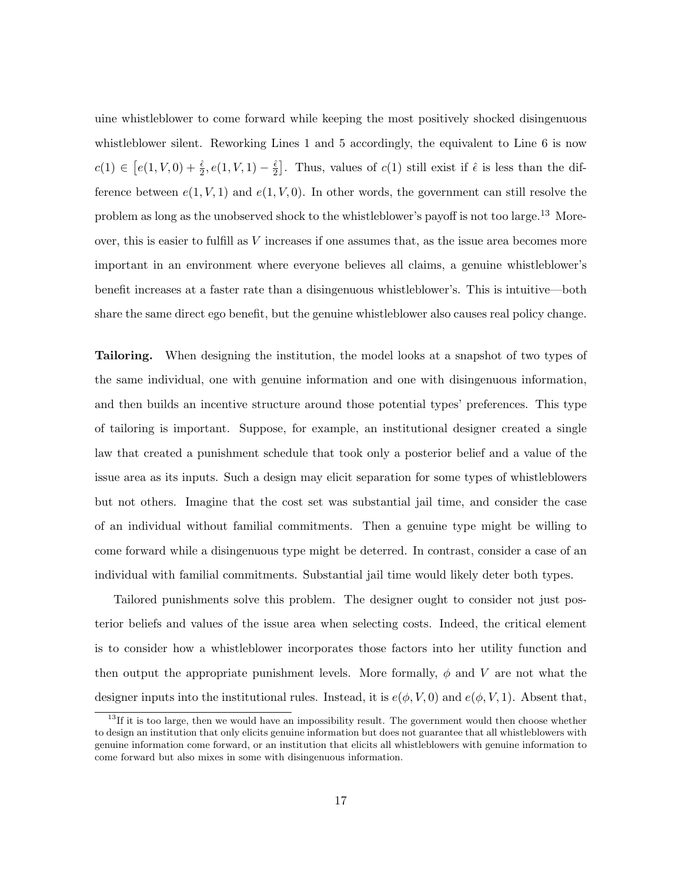uine whistleblower to come forward while keeping the most positively shocked disingenuous whistleblower silent. Reworking Lines 1 and 5 accordingly, the equivalent to Line 6 is now  $c(1) \in [e(1, V, 0) + \frac{\hat{\epsilon}}{2}, e(1, V, 1) - \frac{\hat{\epsilon}}{2}]$  $\frac{\hat{\epsilon}}{2}$ . Thus, values of  $c(1)$  still exist if  $\hat{\epsilon}$  is less than the difference between  $e(1, V, 1)$  and  $e(1, V, 0)$ . In other words, the government can still resolve the problem as long as the unobserved shock to the whistleblower's payoff is not too large.<sup>13</sup> Moreover, this is easier to fulfill as V increases if one assumes that, as the issue area becomes more important in an environment where everyone believes all claims, a genuine whistleblower's benefit increases at a faster rate than a disingenuous whistleblower's. This is intuitive—both share the same direct ego benefit, but the genuine whistleblower also causes real policy change.

Tailoring. When designing the institution, the model looks at a snapshot of two types of the same individual, one with genuine information and one with disingenuous information, and then builds an incentive structure around those potential types' preferences. This type of tailoring is important. Suppose, for example, an institutional designer created a single law that created a punishment schedule that took only a posterior belief and a value of the issue area as its inputs. Such a design may elicit separation for some types of whistleblowers but not others. Imagine that the cost set was substantial jail time, and consider the case of an individual without familial commitments. Then a genuine type might be willing to come forward while a disingenuous type might be deterred. In contrast, consider a case of an individual with familial commitments. Substantial jail time would likely deter both types.

Tailored punishments solve this problem. The designer ought to consider not just posterior beliefs and values of the issue area when selecting costs. Indeed, the critical element is to consider how a whistleblower incorporates those factors into her utility function and then output the appropriate punishment levels. More formally,  $\phi$  and V are not what the designer inputs into the institutional rules. Instead, it is  $e(\phi, V, 0)$  and  $e(\phi, V, 1)$ . Absent that,

 $13$ If it is too large, then we would have an impossibility result. The government would then choose whether to design an institution that only elicits genuine information but does not guarantee that all whistleblowers with genuine information come forward, or an institution that elicits all whistleblowers with genuine information to come forward but also mixes in some with disingenuous information.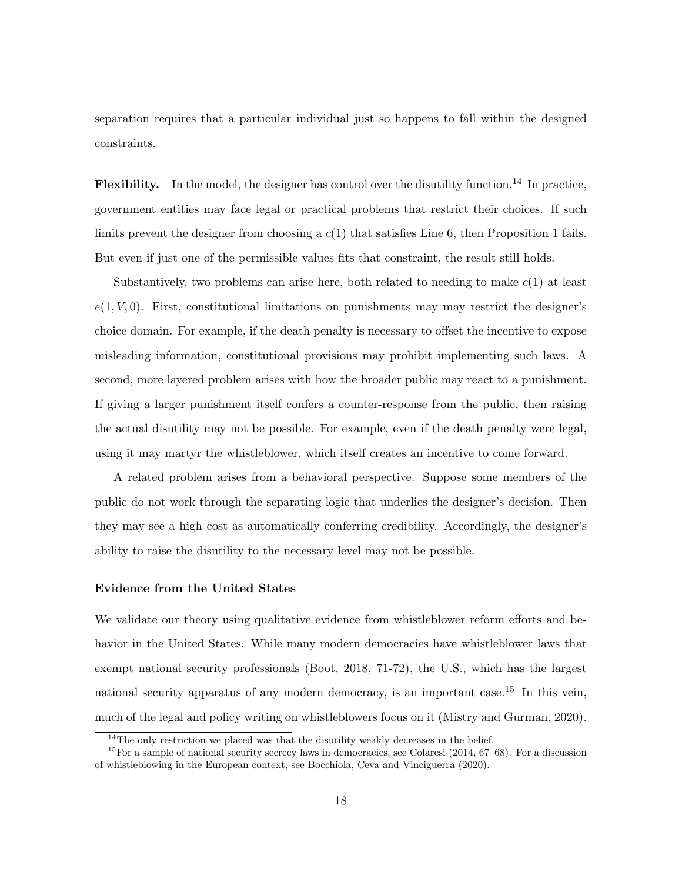separation requires that a particular individual just so happens to fall within the designed constraints.

**Flexibility.** In the model, the designer has control over the disutility function.<sup>14</sup> In practice, government entities may face legal or practical problems that restrict their choices. If such limits prevent the designer from choosing a  $c(1)$  that satisfies Line 6, then Proposition 1 fails. But even if just one of the permissible values fits that constraint, the result still holds.

Substantively, two problems can arise here, both related to needing to make  $c(1)$  at least  $e(1, V, 0)$ . First, constitutional limitations on punishments may may restrict the designer's choice domain. For example, if the death penalty is necessary to offset the incentive to expose misleading information, constitutional provisions may prohibit implementing such laws. A second, more layered problem arises with how the broader public may react to a punishment. If giving a larger punishment itself confers a counter-response from the public, then raising the actual disutility may not be possible. For example, even if the death penalty were legal, using it may martyr the whistleblower, which itself creates an incentive to come forward.

A related problem arises from a behavioral perspective. Suppose some members of the public do not work through the separating logic that underlies the designer's decision. Then they may see a high cost as automatically conferring credibility. Accordingly, the designer's ability to raise the disutility to the necessary level may not be possible.

## Evidence from the United States

We validate our theory using qualitative evidence from whistleblower reform efforts and behavior in the United States. While many modern democracies have whistleblower laws that exempt national security professionals (Boot, 2018, 71-72), the U.S., which has the largest national security apparatus of any modern democracy, is an important case.<sup>15</sup> In this vein, much of the legal and policy writing on whistleblowers focus on it (Mistry and Gurman, 2020).

 $14$ The only restriction we placed was that the disutility weakly decreases in the belief.

<sup>15</sup>For a sample of national security secrecy laws in democracies, see Colaresi (2014, 67–68). For a discussion of whistleblowing in the European context, see Bocchiola, Ceva and Vinciguerra (2020).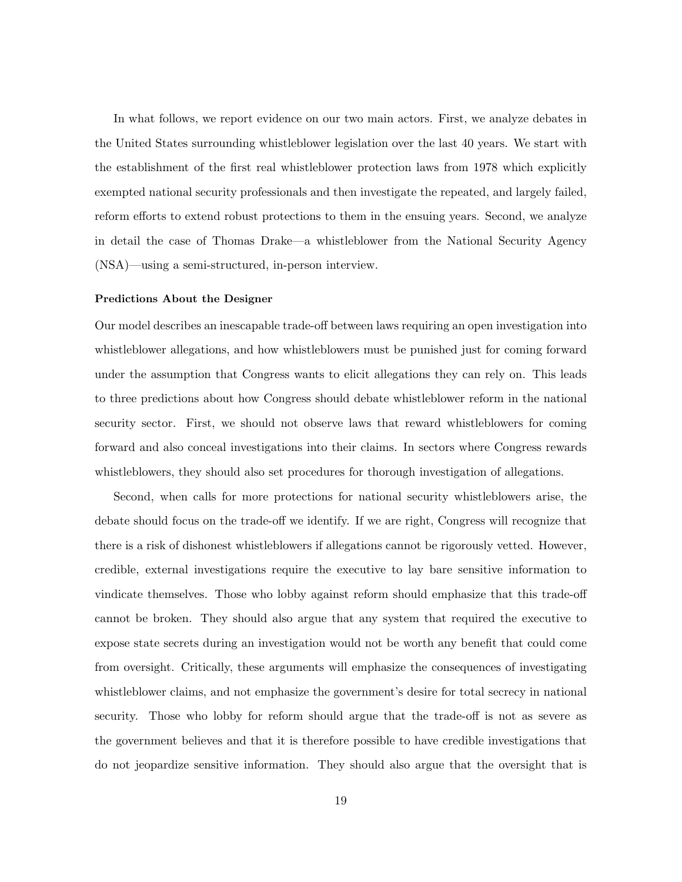In what follows, we report evidence on our two main actors. First, we analyze debates in the United States surrounding whistleblower legislation over the last 40 years. We start with the establishment of the first real whistleblower protection laws from 1978 which explicitly exempted national security professionals and then investigate the repeated, and largely failed, reform efforts to extend robust protections to them in the ensuing years. Second, we analyze in detail the case of Thomas Drake—a whistleblower from the National Security Agency (NSA)—using a semi-structured, in-person interview.

### Predictions About the Designer

Our model describes an inescapable trade-off between laws requiring an open investigation into whistleblower allegations, and how whistleblowers must be punished just for coming forward under the assumption that Congress wants to elicit allegations they can rely on. This leads to three predictions about how Congress should debate whistleblower reform in the national security sector. First, we should not observe laws that reward whistleblowers for coming forward and also conceal investigations into their claims. In sectors where Congress rewards whistleblowers, they should also set procedures for thorough investigation of allegations.

Second, when calls for more protections for national security whistleblowers arise, the debate should focus on the trade-off we identify. If we are right, Congress will recognize that there is a risk of dishonest whistleblowers if allegations cannot be rigorously vetted. However, credible, external investigations require the executive to lay bare sensitive information to vindicate themselves. Those who lobby against reform should emphasize that this trade-off cannot be broken. They should also argue that any system that required the executive to expose state secrets during an investigation would not be worth any benefit that could come from oversight. Critically, these arguments will emphasize the consequences of investigating whistleblower claims, and not emphasize the government's desire for total secrecy in national security. Those who lobby for reform should argue that the trade-off is not as severe as the government believes and that it is therefore possible to have credible investigations that do not jeopardize sensitive information. They should also argue that the oversight that is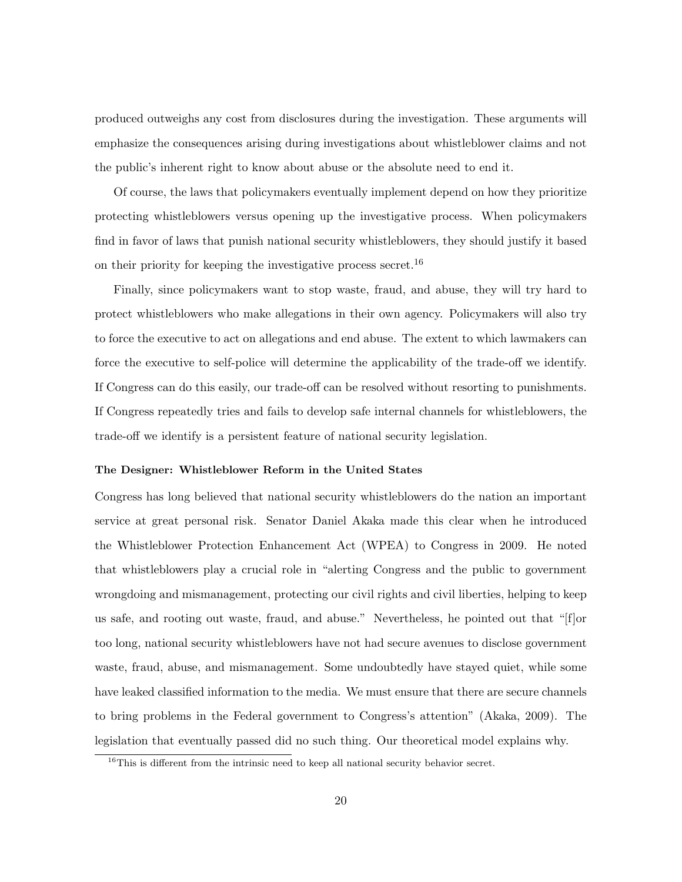produced outweighs any cost from disclosures during the investigation. These arguments will emphasize the consequences arising during investigations about whistleblower claims and not the public's inherent right to know about abuse or the absolute need to end it.

Of course, the laws that policymakers eventually implement depend on how they prioritize protecting whistleblowers versus opening up the investigative process. When policymakers find in favor of laws that punish national security whistleblowers, they should justify it based on their priority for keeping the investigative process secret.<sup>16</sup>

Finally, since policymakers want to stop waste, fraud, and abuse, they will try hard to protect whistleblowers who make allegations in their own agency. Policymakers will also try to force the executive to act on allegations and end abuse. The extent to which lawmakers can force the executive to self-police will determine the applicability of the trade-off we identify. If Congress can do this easily, our trade-off can be resolved without resorting to punishments. If Congress repeatedly tries and fails to develop safe internal channels for whistleblowers, the trade-off we identify is a persistent feature of national security legislation.

## The Designer: Whistleblower Reform in the United States

Congress has long believed that national security whistleblowers do the nation an important service at great personal risk. Senator Daniel Akaka made this clear when he introduced the Whistleblower Protection Enhancement Act (WPEA) to Congress in 2009. He noted that whistleblowers play a crucial role in "alerting Congress and the public to government wrongdoing and mismanagement, protecting our civil rights and civil liberties, helping to keep us safe, and rooting out waste, fraud, and abuse." Nevertheless, he pointed out that "[f]or too long, national security whistleblowers have not had secure avenues to disclose government waste, fraud, abuse, and mismanagement. Some undoubtedly have stayed quiet, while some have leaked classified information to the media. We must ensure that there are secure channels to bring problems in the Federal government to Congress's attention" (Akaka, 2009). The legislation that eventually passed did no such thing. Our theoretical model explains why.

 $16$ This is different from the intrinsic need to keep all national security behavior secret.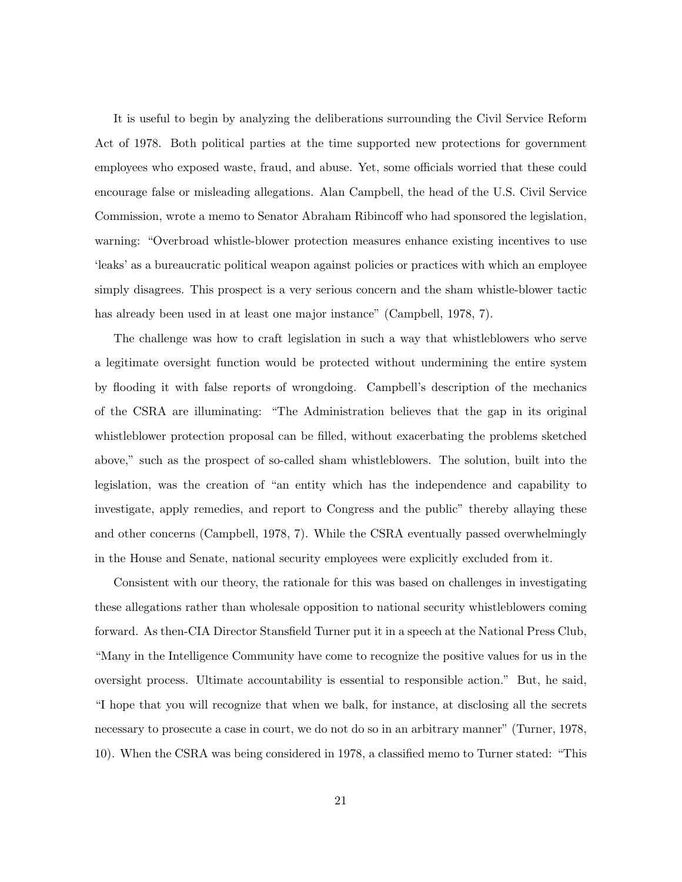It is useful to begin by analyzing the deliberations surrounding the Civil Service Reform Act of 1978. Both political parties at the time supported new protections for government employees who exposed waste, fraud, and abuse. Yet, some officials worried that these could encourage false or misleading allegations. Alan Campbell, the head of the U.S. Civil Service Commission, wrote a memo to Senator Abraham Ribincoff who had sponsored the legislation, warning: "Overbroad whistle-blower protection measures enhance existing incentives to use 'leaks' as a bureaucratic political weapon against policies or practices with which an employee simply disagrees. This prospect is a very serious concern and the sham whistle-blower tactic has already been used in at least one major instance" (Campbell, 1978, 7).

The challenge was how to craft legislation in such a way that whistleblowers who serve a legitimate oversight function would be protected without undermining the entire system by flooding it with false reports of wrongdoing. Campbell's description of the mechanics of the CSRA are illuminating: "The Administration believes that the gap in its original whistleblower protection proposal can be filled, without exacerbating the problems sketched above," such as the prospect of so-called sham whistleblowers. The solution, built into the legislation, was the creation of "an entity which has the independence and capability to investigate, apply remedies, and report to Congress and the public" thereby allaying these and other concerns (Campbell, 1978, 7). While the CSRA eventually passed overwhelmingly in the House and Senate, national security employees were explicitly excluded from it.

Consistent with our theory, the rationale for this was based on challenges in investigating these allegations rather than wholesale opposition to national security whistleblowers coming forward. As then-CIA Director Stansfield Turner put it in a speech at the National Press Club, "Many in the Intelligence Community have come to recognize the positive values for us in the oversight process. Ultimate accountability is essential to responsible action." But, he said, "I hope that you will recognize that when we balk, for instance, at disclosing all the secrets necessary to prosecute a case in court, we do not do so in an arbitrary manner" (Turner, 1978, 10). When the CSRA was being considered in 1978, a classified memo to Turner stated: "This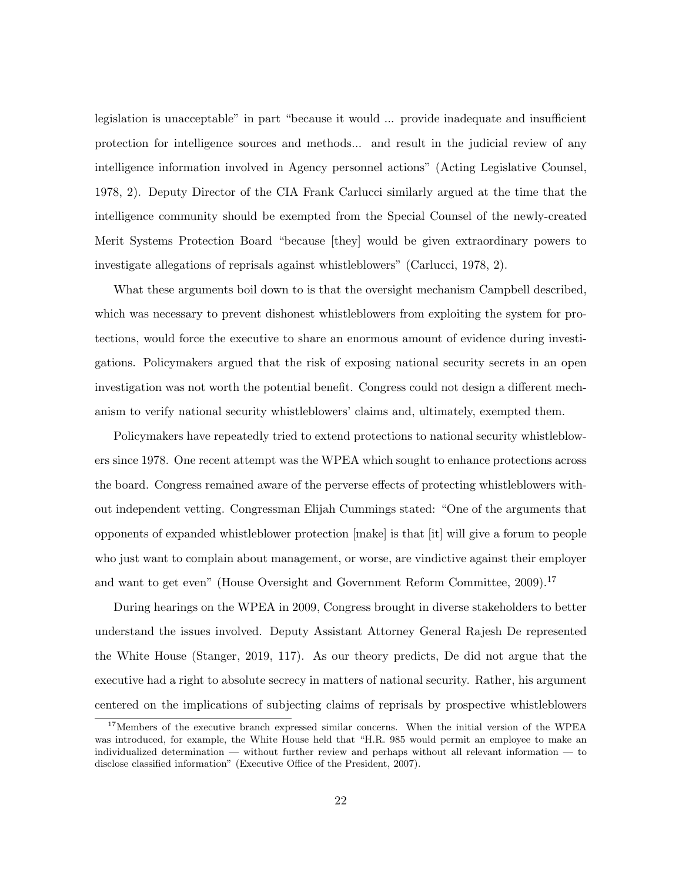legislation is unacceptable" in part "because it would ... provide inadequate and insufficient protection for intelligence sources and methods... and result in the judicial review of any intelligence information involved in Agency personnel actions" (Acting Legislative Counsel, 1978, 2). Deputy Director of the CIA Frank Carlucci similarly argued at the time that the intelligence community should be exempted from the Special Counsel of the newly-created Merit Systems Protection Board "because [they] would be given extraordinary powers to investigate allegations of reprisals against whistleblowers" (Carlucci, 1978, 2).

What these arguments boil down to is that the oversight mechanism Campbell described, which was necessary to prevent dishonest whistleblowers from exploiting the system for protections, would force the executive to share an enormous amount of evidence during investigations. Policymakers argued that the risk of exposing national security secrets in an open investigation was not worth the potential benefit. Congress could not design a different mechanism to verify national security whistleblowers' claims and, ultimately, exempted them.

Policymakers have repeatedly tried to extend protections to national security whistleblowers since 1978. One recent attempt was the WPEA which sought to enhance protections across the board. Congress remained aware of the perverse effects of protecting whistleblowers without independent vetting. Congressman Elijah Cummings stated: "One of the arguments that opponents of expanded whistleblower protection [make] is that [it] will give a forum to people who just want to complain about management, or worse, are vindictive against their employer and want to get even" (House Oversight and Government Reform Committee, 2009).<sup>17</sup>

During hearings on the WPEA in 2009, Congress brought in diverse stakeholders to better understand the issues involved. Deputy Assistant Attorney General Rajesh De represented the White House (Stanger, 2019, 117). As our theory predicts, De did not argue that the executive had a right to absolute secrecy in matters of national security. Rather, his argument centered on the implications of subjecting claims of reprisals by prospective whistleblowers

<sup>&</sup>lt;sup>17</sup>Members of the executive branch expressed similar concerns. When the initial version of the WPEA was introduced, for example, the White House held that "H.R. 985 would permit an employee to make an individualized determination — without further review and perhaps without all relevant information — to disclose classified information" (Executive Office of the President, 2007).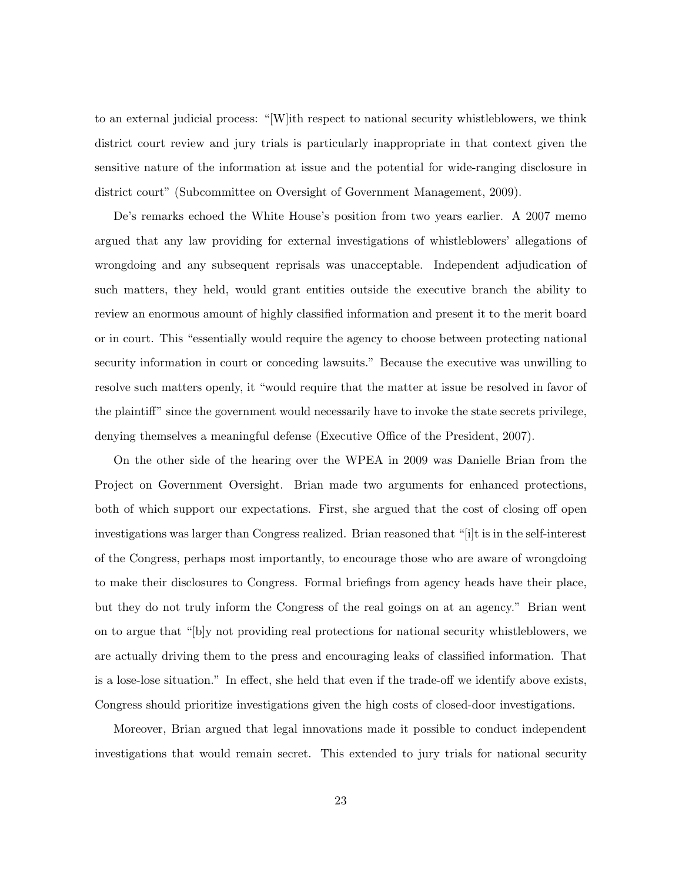to an external judicial process: "[W]ith respect to national security whistleblowers, we think district court review and jury trials is particularly inappropriate in that context given the sensitive nature of the information at issue and the potential for wide-ranging disclosure in district court" (Subcommittee on Oversight of Government Management, 2009).

De's remarks echoed the White House's position from two years earlier. A 2007 memo argued that any law providing for external investigations of whistleblowers' allegations of wrongdoing and any subsequent reprisals was unacceptable. Independent adjudication of such matters, they held, would grant entities outside the executive branch the ability to review an enormous amount of highly classified information and present it to the merit board or in court. This "essentially would require the agency to choose between protecting national security information in court or conceding lawsuits." Because the executive was unwilling to resolve such matters openly, it "would require that the matter at issue be resolved in favor of the plaintiff" since the government would necessarily have to invoke the state secrets privilege, denying themselves a meaningful defense (Executive Office of the President, 2007).

On the other side of the hearing over the WPEA in 2009 was Danielle Brian from the Project on Government Oversight. Brian made two arguments for enhanced protections, both of which support our expectations. First, she argued that the cost of closing off open investigations was larger than Congress realized. Brian reasoned that "[i]t is in the self-interest of the Congress, perhaps most importantly, to encourage those who are aware of wrongdoing to make their disclosures to Congress. Formal briefings from agency heads have their place, but they do not truly inform the Congress of the real goings on at an agency." Brian went on to argue that "[b]y not providing real protections for national security whistleblowers, we are actually driving them to the press and encouraging leaks of classified information. That is a lose-lose situation." In effect, she held that even if the trade-off we identify above exists, Congress should prioritize investigations given the high costs of closed-door investigations.

Moreover, Brian argued that legal innovations made it possible to conduct independent investigations that would remain secret. This extended to jury trials for national security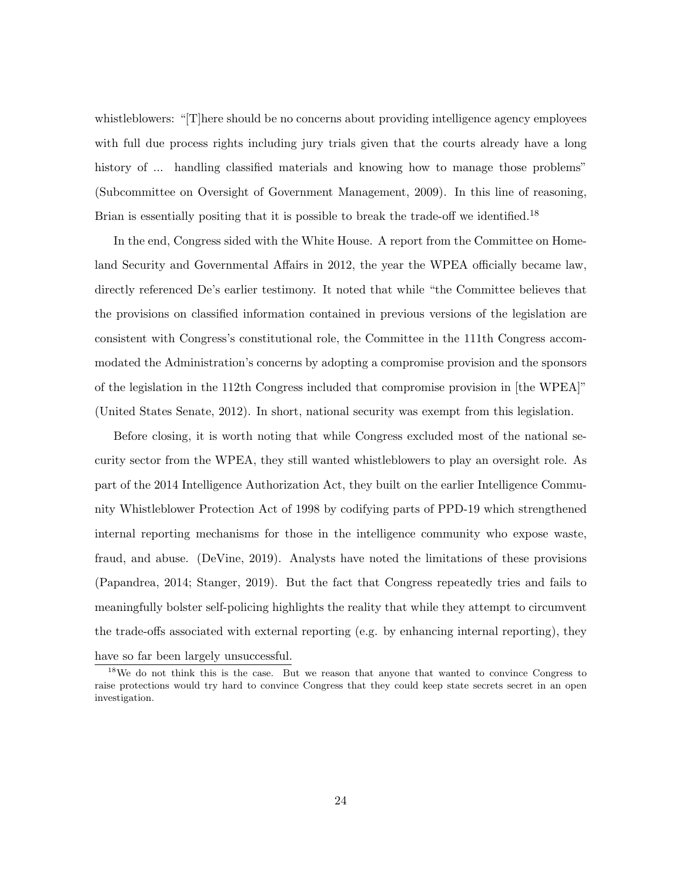whistleblowers: "[T]here should be no concerns about providing intelligence agency employees with full due process rights including jury trials given that the courts already have a long history of ... handling classified materials and knowing how to manage those problems" (Subcommittee on Oversight of Government Management, 2009). In this line of reasoning, Brian is essentially positing that it is possible to break the trade-off we identified.<sup>18</sup>

In the end, Congress sided with the White House. A report from the Committee on Homeland Security and Governmental Affairs in 2012, the year the WPEA officially became law, directly referenced De's earlier testimony. It noted that while "the Committee believes that the provisions on classified information contained in previous versions of the legislation are consistent with Congress's constitutional role, the Committee in the 111th Congress accommodated the Administration's concerns by adopting a compromise provision and the sponsors of the legislation in the 112th Congress included that compromise provision in [the WPEA]" (United States Senate, 2012). In short, national security was exempt from this legislation.

Before closing, it is worth noting that while Congress excluded most of the national security sector from the WPEA, they still wanted whistleblowers to play an oversight role. As part of the 2014 Intelligence Authorization Act, they built on the earlier Intelligence Community Whistleblower Protection Act of 1998 by codifying parts of PPD-19 which strengthened internal reporting mechanisms for those in the intelligence community who expose waste, fraud, and abuse. (DeVine, 2019). Analysts have noted the limitations of these provisions (Papandrea, 2014; Stanger, 2019). But the fact that Congress repeatedly tries and fails to meaningfully bolster self-policing highlights the reality that while they attempt to circumvent the trade-offs associated with external reporting (e.g. by enhancing internal reporting), they have so far been largely unsuccessful.

<sup>&</sup>lt;sup>18</sup>We do not think this is the case. But we reason that anyone that wanted to convince Congress to raise protections would try hard to convince Congress that they could keep state secrets secret in an open investigation.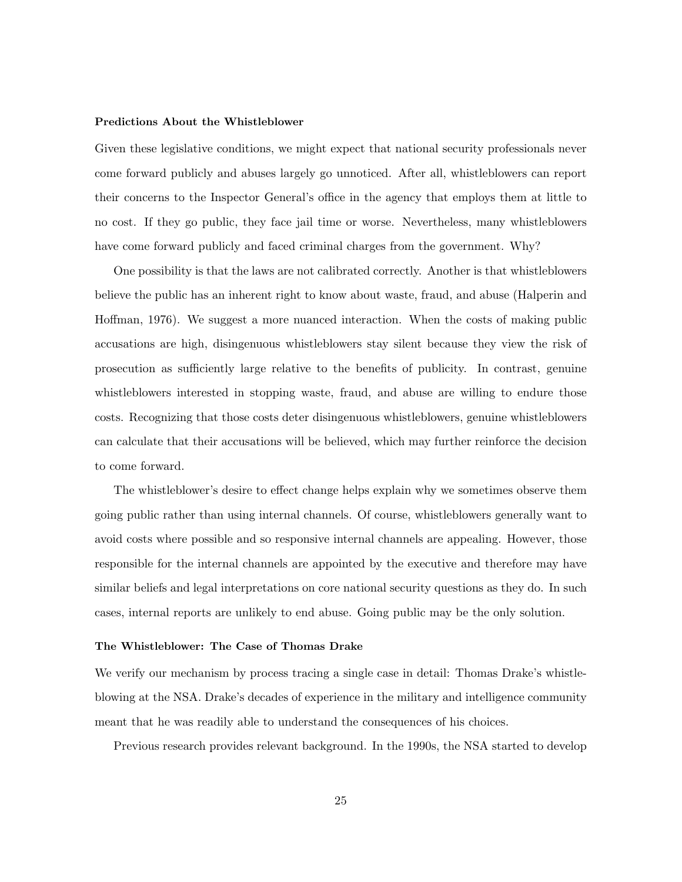## Predictions About the Whistleblower

Given these legislative conditions, we might expect that national security professionals never come forward publicly and abuses largely go unnoticed. After all, whistleblowers can report their concerns to the Inspector General's office in the agency that employs them at little to no cost. If they go public, they face jail time or worse. Nevertheless, many whistleblowers have come forward publicly and faced criminal charges from the government. Why?

One possibility is that the laws are not calibrated correctly. Another is that whistleblowers believe the public has an inherent right to know about waste, fraud, and abuse (Halperin and Hoffman, 1976). We suggest a more nuanced interaction. When the costs of making public accusations are high, disingenuous whistleblowers stay silent because they view the risk of prosecution as sufficiently large relative to the benefits of publicity. In contrast, genuine whistleblowers interested in stopping waste, fraud, and abuse are willing to endure those costs. Recognizing that those costs deter disingenuous whistleblowers, genuine whistleblowers can calculate that their accusations will be believed, which may further reinforce the decision to come forward.

The whistleblower's desire to effect change helps explain why we sometimes observe them going public rather than using internal channels. Of course, whistleblowers generally want to avoid costs where possible and so responsive internal channels are appealing. However, those responsible for the internal channels are appointed by the executive and therefore may have similar beliefs and legal interpretations on core national security questions as they do. In such cases, internal reports are unlikely to end abuse. Going public may be the only solution.

## The Whistleblower: The Case of Thomas Drake

We verify our mechanism by process tracing a single case in detail: Thomas Drake's whistleblowing at the NSA. Drake's decades of experience in the military and intelligence community meant that he was readily able to understand the consequences of his choices.

Previous research provides relevant background. In the 1990s, the NSA started to develop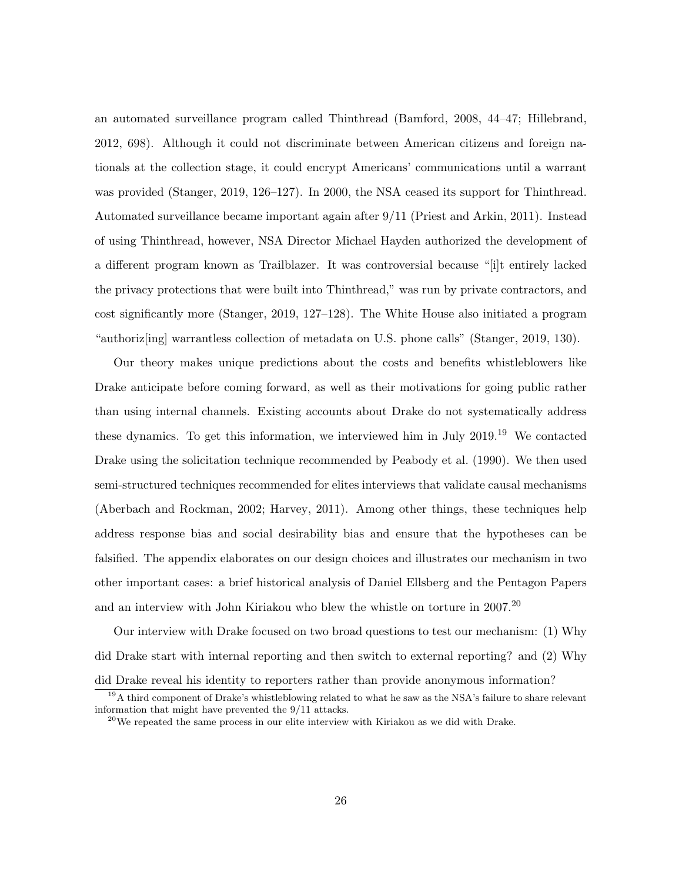an automated surveillance program called Thinthread (Bamford, 2008, 44–47; Hillebrand, 2012, 698). Although it could not discriminate between American citizens and foreign nationals at the collection stage, it could encrypt Americans' communications until a warrant was provided (Stanger, 2019, 126–127). In 2000, the NSA ceased its support for Thinthread. Automated surveillance became important again after 9/11 (Priest and Arkin, 2011). Instead of using Thinthread, however, NSA Director Michael Hayden authorized the development of a different program known as Trailblazer. It was controversial because "[i]t entirely lacked the privacy protections that were built into Thinthread," was run by private contractors, and cost significantly more (Stanger, 2019, 127–128). The White House also initiated a program "authoriz[ing] warrantless collection of metadata on U.S. phone calls" (Stanger, 2019, 130).

Our theory makes unique predictions about the costs and benefits whistleblowers like Drake anticipate before coming forward, as well as their motivations for going public rather than using internal channels. Existing accounts about Drake do not systematically address these dynamics. To get this information, we interviewed him in July  $2019$ <sup>19</sup> We contacted Drake using the solicitation technique recommended by Peabody et al. (1990). We then used semi-structured techniques recommended for elites interviews that validate causal mechanisms (Aberbach and Rockman, 2002; Harvey, 2011). Among other things, these techniques help address response bias and social desirability bias and ensure that the hypotheses can be falsified. The appendix elaborates on our design choices and illustrates our mechanism in two other important cases: a brief historical analysis of Daniel Ellsberg and the Pentagon Papers and an interview with John Kiriakou who blew the whistle on torture in 2007.<sup>20</sup>

Our interview with Drake focused on two broad questions to test our mechanism: (1) Why did Drake start with internal reporting and then switch to external reporting? and (2) Why did Drake reveal his identity to reporters rather than provide anonymous information?

<sup>&</sup>lt;sup>19</sup>A third component of Drake's whistleblowing related to what he saw as the NSA's failure to share relevant information that might have prevented the 9/11 attacks.

 $^{20}$ We repeated the same process in our elite interview with Kiriakou as we did with Drake.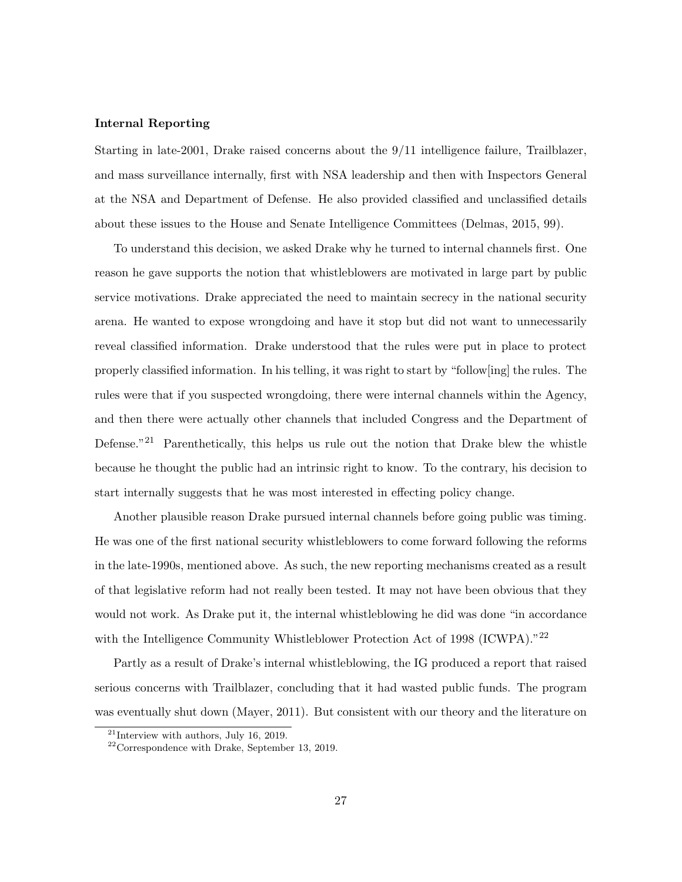### Internal Reporting

Starting in late-2001, Drake raised concerns about the 9/11 intelligence failure, Trailblazer, and mass surveillance internally, first with NSA leadership and then with Inspectors General at the NSA and Department of Defense. He also provided classified and unclassified details about these issues to the House and Senate Intelligence Committees (Delmas, 2015, 99).

To understand this decision, we asked Drake why he turned to internal channels first. One reason he gave supports the notion that whistleblowers are motivated in large part by public service motivations. Drake appreciated the need to maintain secrecy in the national security arena. He wanted to expose wrongdoing and have it stop but did not want to unnecessarily reveal classified information. Drake understood that the rules were put in place to protect properly classified information. In his telling, it was right to start by "follow[ing] the rules. The rules were that if you suspected wrongdoing, there were internal channels within the Agency, and then there were actually other channels that included Congress and the Department of Defense."<sup>21</sup> Parenthetically, this helps us rule out the notion that Drake blew the whistle because he thought the public had an intrinsic right to know. To the contrary, his decision to start internally suggests that he was most interested in effecting policy change.

Another plausible reason Drake pursued internal channels before going public was timing. He was one of the first national security whistleblowers to come forward following the reforms in the late-1990s, mentioned above. As such, the new reporting mechanisms created as a result of that legislative reform had not really been tested. It may not have been obvious that they would not work. As Drake put it, the internal whistleblowing he did was done "in accordance with the Intelligence Community Whistleblower Protection Act of 1998 (ICWPA)."<sup>22</sup>

Partly as a result of Drake's internal whistleblowing, the IG produced a report that raised serious concerns with Trailblazer, concluding that it had wasted public funds. The program was eventually shut down (Mayer, 2011). But consistent with our theory and the literature on

 $21$ Interview with authors, July 16, 2019.

<sup>22</sup>Correspondence with Drake, September 13, 2019.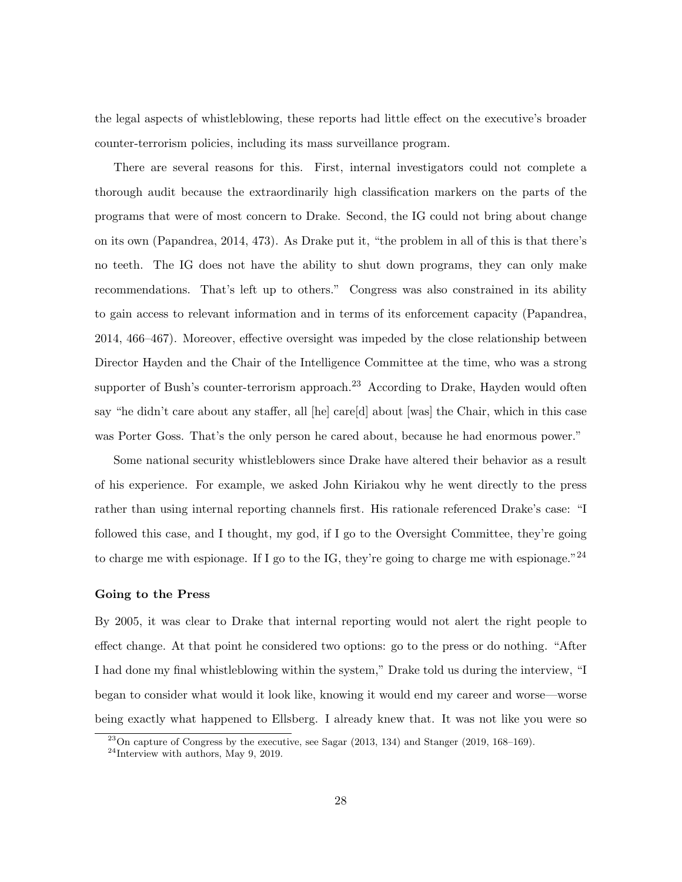the legal aspects of whistleblowing, these reports had little effect on the executive's broader counter-terrorism policies, including its mass surveillance program.

There are several reasons for this. First, internal investigators could not complete a thorough audit because the extraordinarily high classification markers on the parts of the programs that were of most concern to Drake. Second, the IG could not bring about change on its own (Papandrea, 2014, 473). As Drake put it, "the problem in all of this is that there's no teeth. The IG does not have the ability to shut down programs, they can only make recommendations. That's left up to others." Congress was also constrained in its ability to gain access to relevant information and in terms of its enforcement capacity (Papandrea, 2014, 466–467). Moreover, effective oversight was impeded by the close relationship between Director Hayden and the Chair of the Intelligence Committee at the time, who was a strong supporter of Bush's counter-terrorism approach.<sup>23</sup> According to Drake, Hayden would often say "he didn't care about any staffer, all [he] care[d] about [was] the Chair, which in this case was Porter Goss. That's the only person he cared about, because he had enormous power."

Some national security whistleblowers since Drake have altered their behavior as a result of his experience. For example, we asked John Kiriakou why he went directly to the press rather than using internal reporting channels first. His rationale referenced Drake's case: "I followed this case, and I thought, my god, if I go to the Oversight Committee, they're going to charge me with espionage. If I go to the IG, they're going to charge me with espionage." $^{24}$ 

## Going to the Press

By 2005, it was clear to Drake that internal reporting would not alert the right people to effect change. At that point he considered two options: go to the press or do nothing. "After I had done my final whistleblowing within the system," Drake told us during the interview, "I began to consider what would it look like, knowing it would end my career and worse—worse being exactly what happened to Ellsberg. I already knew that. It was not like you were so

 $^{23}$ On capture of Congress by the executive, see Sagar (2013, 134) and Stanger (2019, 168–169).

 $24$ Interview with authors, May 9, 2019.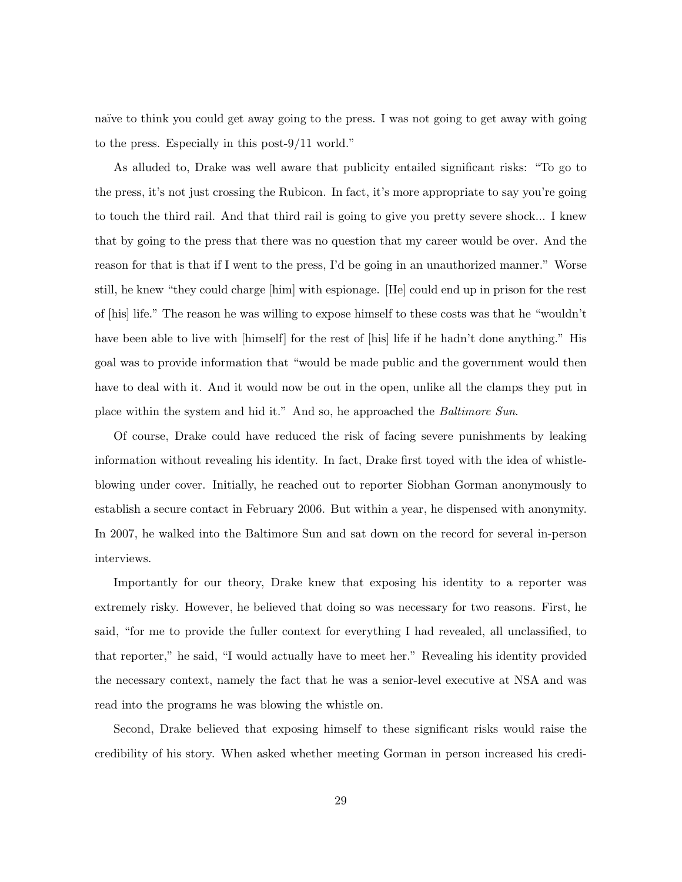naïve to think you could get away going to the press. I was not going to get away with going to the press. Especially in this post-9/11 world."

As alluded to, Drake was well aware that publicity entailed significant risks: "To go to the press, it's not just crossing the Rubicon. In fact, it's more appropriate to say you're going to touch the third rail. And that third rail is going to give you pretty severe shock... I knew that by going to the press that there was no question that my career would be over. And the reason for that is that if I went to the press, I'd be going in an unauthorized manner." Worse still, he knew "they could charge [him] with espionage. [He] could end up in prison for the rest of [his] life." The reason he was willing to expose himself to these costs was that he "wouldn't have been able to live with [himself] for the rest of [his] life if he hadn't done anything." His goal was to provide information that "would be made public and the government would then have to deal with it. And it would now be out in the open, unlike all the clamps they put in place within the system and hid it." And so, he approached the Baltimore Sun.

Of course, Drake could have reduced the risk of facing severe punishments by leaking information without revealing his identity. In fact, Drake first toyed with the idea of whistleblowing under cover. Initially, he reached out to reporter Siobhan Gorman anonymously to establish a secure contact in February 2006. But within a year, he dispensed with anonymity. In 2007, he walked into the Baltimore Sun and sat down on the record for several in-person interviews.

Importantly for our theory, Drake knew that exposing his identity to a reporter was extremely risky. However, he believed that doing so was necessary for two reasons. First, he said, "for me to provide the fuller context for everything I had revealed, all unclassified, to that reporter," he said, "I would actually have to meet her." Revealing his identity provided the necessary context, namely the fact that he was a senior-level executive at NSA and was read into the programs he was blowing the whistle on.

Second, Drake believed that exposing himself to these significant risks would raise the credibility of his story. When asked whether meeting Gorman in person increased his credi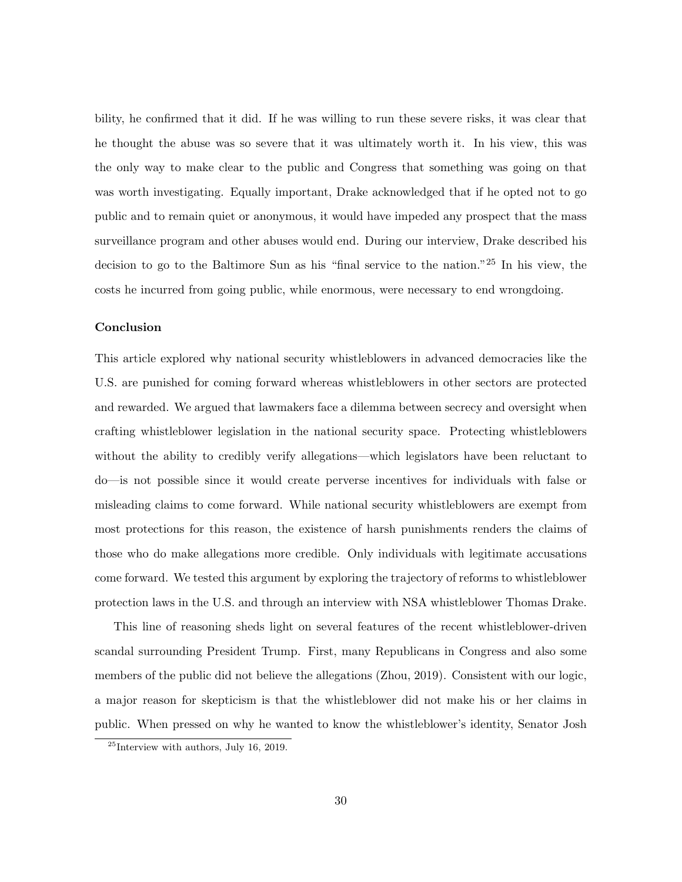bility, he confirmed that it did. If he was willing to run these severe risks, it was clear that he thought the abuse was so severe that it was ultimately worth it. In his view, this was the only way to make clear to the public and Congress that something was going on that was worth investigating. Equally important, Drake acknowledged that if he opted not to go public and to remain quiet or anonymous, it would have impeded any prospect that the mass surveillance program and other abuses would end. During our interview, Drake described his decision to go to the Baltimore Sun as his "final service to the nation."<sup>25</sup> In his view, the costs he incurred from going public, while enormous, were necessary to end wrongdoing.

## Conclusion

This article explored why national security whistleblowers in advanced democracies like the U.S. are punished for coming forward whereas whistleblowers in other sectors are protected and rewarded. We argued that lawmakers face a dilemma between secrecy and oversight when crafting whistleblower legislation in the national security space. Protecting whistleblowers without the ability to credibly verify allegations—which legislators have been reluctant to do—is not possible since it would create perverse incentives for individuals with false or misleading claims to come forward. While national security whistleblowers are exempt from most protections for this reason, the existence of harsh punishments renders the claims of those who do make allegations more credible. Only individuals with legitimate accusations come forward. We tested this argument by exploring the trajectory of reforms to whistleblower protection laws in the U.S. and through an interview with NSA whistleblower Thomas Drake.

This line of reasoning sheds light on several features of the recent whistleblower-driven scandal surrounding President Trump. First, many Republicans in Congress and also some members of the public did not believe the allegations (Zhou, 2019). Consistent with our logic, a major reason for skepticism is that the whistleblower did not make his or her claims in public. When pressed on why he wanted to know the whistleblower's identity, Senator Josh

 $^{25}\rm{Interview}$  with authors, July 16, 2019.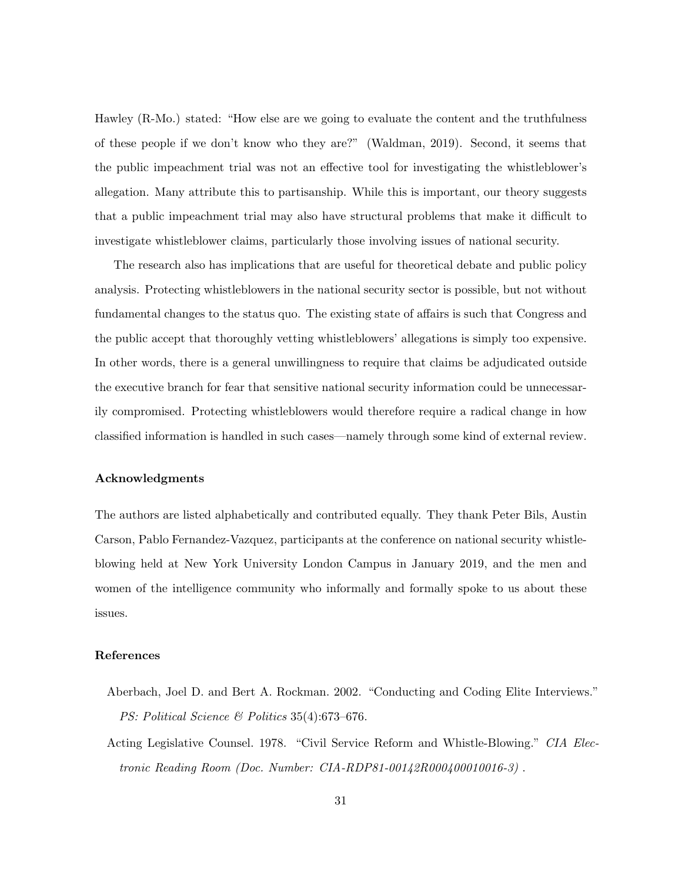Hawley (R-Mo.) stated: "How else are we going to evaluate the content and the truthfulness of these people if we don't know who they are?" (Waldman, 2019). Second, it seems that the public impeachment trial was not an effective tool for investigating the whistleblower's allegation. Many attribute this to partisanship. While this is important, our theory suggests that a public impeachment trial may also have structural problems that make it difficult to investigate whistleblower claims, particularly those involving issues of national security.

The research also has implications that are useful for theoretical debate and public policy analysis. Protecting whistleblowers in the national security sector is possible, but not without fundamental changes to the status quo. The existing state of affairs is such that Congress and the public accept that thoroughly vetting whistleblowers' allegations is simply too expensive. In other words, there is a general unwillingness to require that claims be adjudicated outside the executive branch for fear that sensitive national security information could be unnecessarily compromised. Protecting whistleblowers would therefore require a radical change in how classified information is handled in such cases—namely through some kind of external review.

### Acknowledgments

The authors are listed alphabetically and contributed equally. They thank Peter Bils, Austin Carson, Pablo Fernandez-Vazquez, participants at the conference on national security whistleblowing held at New York University London Campus in January 2019, and the men and women of the intelligence community who informally and formally spoke to us about these issues.

## References

- Aberbach, Joel D. and Bert A. Rockman. 2002. "Conducting and Coding Elite Interviews." PS: Political Science & Politics 35(4):673-676.
- Acting Legislative Counsel. 1978. "Civil Service Reform and Whistle-Blowing." CIA Electronic Reading Room (Doc. Number: CIA-RDP81-00142R000400010016-3) .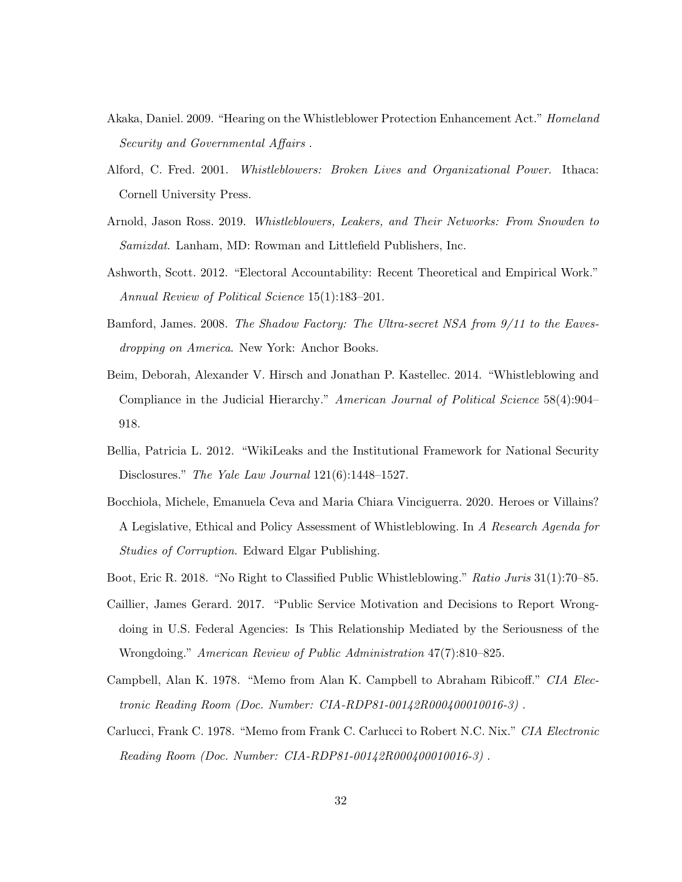- Akaka, Daniel. 2009. "Hearing on the Whistleblower Protection Enhancement Act." Homeland Security and Governmental Affairs .
- Alford, C. Fred. 2001. Whistleblowers: Broken Lives and Organizational Power. Ithaca: Cornell University Press.
- Arnold, Jason Ross. 2019. Whistleblowers, Leakers, and Their Networks: From Snowden to Samizdat. Lanham, MD: Rowman and Littlefield Publishers, Inc.
- Ashworth, Scott. 2012. "Electoral Accountability: Recent Theoretical and Empirical Work." Annual Review of Political Science 15(1):183–201.
- Bamford, James. 2008. The Shadow Factory: The Ultra-secret NSA from 9/11 to the Eavesdropping on America. New York: Anchor Books.
- Beim, Deborah, Alexander V. Hirsch and Jonathan P. Kastellec. 2014. "Whistleblowing and Compliance in the Judicial Hierarchy." American Journal of Political Science 58(4):904– 918.
- Bellia, Patricia L. 2012. "WikiLeaks and the Institutional Framework for National Security Disclosures." The Yale Law Journal 121(6):1448–1527.
- Bocchiola, Michele, Emanuela Ceva and Maria Chiara Vinciguerra. 2020. Heroes or Villains? A Legislative, Ethical and Policy Assessment of Whistleblowing. In A Research Agenda for Studies of Corruption. Edward Elgar Publishing.
- Boot, Eric R. 2018. "No Right to Classified Public Whistleblowing." Ratio Juris 31(1):70–85.
- Caillier, James Gerard. 2017. "Public Service Motivation and Decisions to Report Wrongdoing in U.S. Federal Agencies: Is This Relationship Mediated by the Seriousness of the Wrongdoing." American Review of Public Administration 47(7):810–825.
- Campbell, Alan K. 1978. "Memo from Alan K. Campbell to Abraham Ribicoff." CIA Electronic Reading Room (Doc. Number: CIA-RDP81-00142R000400010016-3) .
- Carlucci, Frank C. 1978. "Memo from Frank C. Carlucci to Robert N.C. Nix." CIA Electronic Reading Room (Doc. Number: CIA-RDP81-00142R000400010016-3) .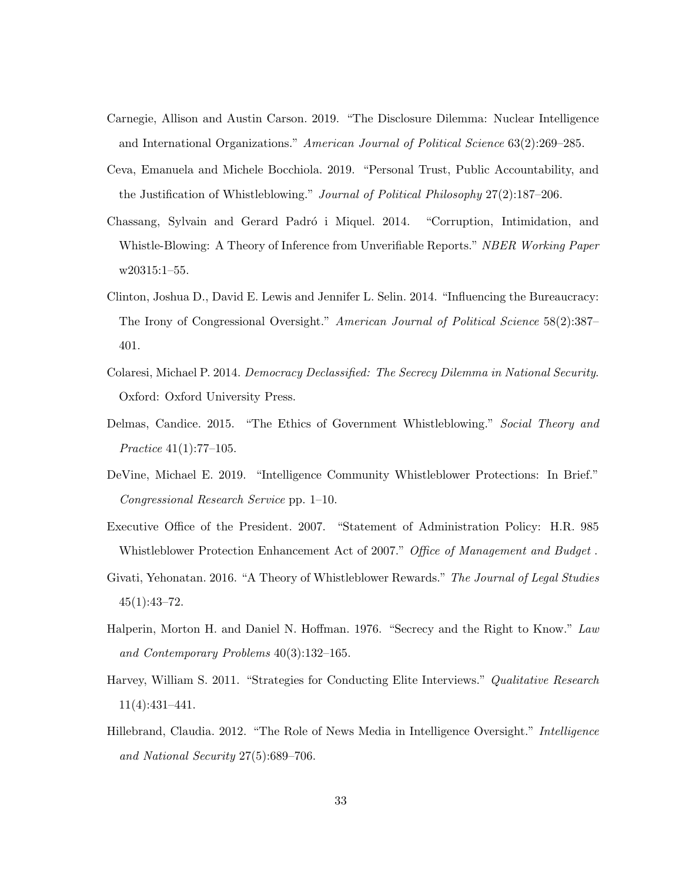- Carnegie, Allison and Austin Carson. 2019. "The Disclosure Dilemma: Nuclear Intelligence and International Organizations." American Journal of Political Science 63(2):269–285.
- Ceva, Emanuela and Michele Bocchiola. 2019. "Personal Trust, Public Accountability, and the Justification of Whistleblowing." Journal of Political Philosophy 27(2):187–206.
- Chassang, Sylvain and Gerard Padró i Miquel. 2014. "Corruption, Intimidation, and Whistle-Blowing: A Theory of Inference from Unverifiable Reports." NBER Working Paper w20315:1–55.
- Clinton, Joshua D., David E. Lewis and Jennifer L. Selin. 2014. "Influencing the Bureaucracy: The Irony of Congressional Oversight." American Journal of Political Science 58(2):387– 401.
- Colaresi, Michael P. 2014. Democracy Declassified: The Secrecy Dilemma in National Security. Oxford: Oxford University Press.
- Delmas, Candice. 2015. "The Ethics of Government Whistleblowing." Social Theory and Practice 41(1):77–105.
- DeVine, Michael E. 2019. "Intelligence Community Whistleblower Protections: In Brief." Congressional Research Service pp. 1–10.
- Executive Office of the President. 2007. "Statement of Administration Policy: H.R. 985 Whistleblower Protection Enhancement Act of 2007." Office of Management and Budget .
- Givati, Yehonatan. 2016. "A Theory of Whistleblower Rewards." The Journal of Legal Studies  $45(1):43-72.$
- Halperin, Morton H. and Daniel N. Hoffman. 1976. "Secrecy and the Right to Know." Law and Contemporary Problems 40(3):132–165.
- Harvey, William S. 2011. "Strategies for Conducting Elite Interviews." Qualitative Research 11(4):431–441.
- Hillebrand, Claudia. 2012. "The Role of News Media in Intelligence Oversight." Intelligence and National Security 27(5):689–706.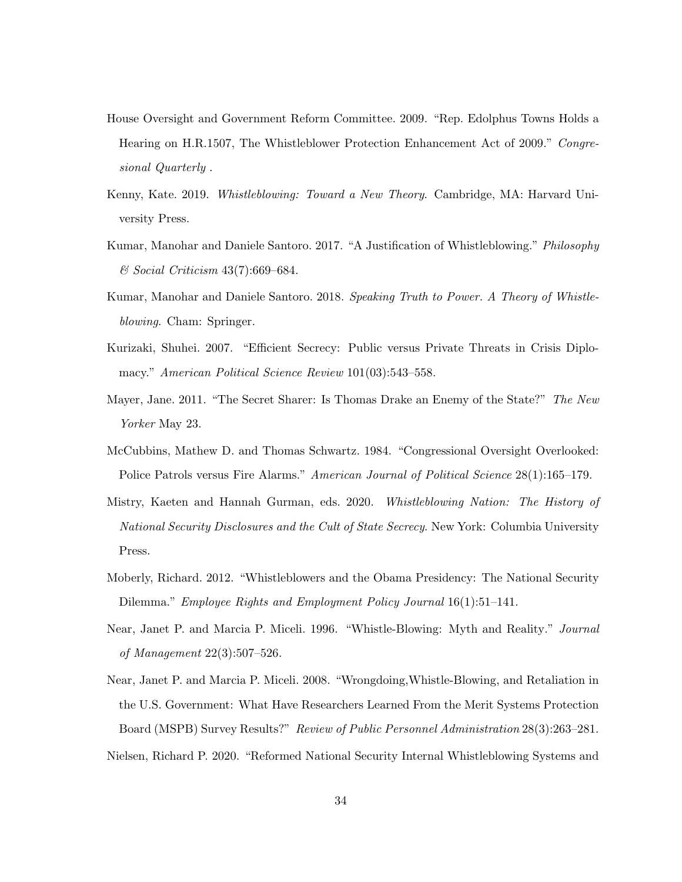- House Oversight and Government Reform Committee. 2009. "Rep. Edolphus Towns Holds a Hearing on H.R.1507, The Whistleblower Protection Enhancement Act of 2009." Congresional Quarterly .
- Kenny, Kate. 2019. Whistleblowing: Toward a New Theory. Cambridge, MA: Harvard University Press.
- Kumar, Manohar and Daniele Santoro. 2017. "A Justification of Whistleblowing." Philosophy & Social Criticism 43(7):669–684.
- Kumar, Manohar and Daniele Santoro. 2018. Speaking Truth to Power. A Theory of Whistleblowing. Cham: Springer.
- Kurizaki, Shuhei. 2007. "Efficient Secrecy: Public versus Private Threats in Crisis Diplomacy." American Political Science Review 101(03):543-558.
- Mayer, Jane. 2011. "The Secret Sharer: Is Thomas Drake an Enemy of the State?" The New Yorker May 23.
- McCubbins, Mathew D. and Thomas Schwartz. 1984. "Congressional Oversight Overlooked: Police Patrols versus Fire Alarms." American Journal of Political Science 28(1):165–179.
- Mistry, Kaeten and Hannah Gurman, eds. 2020. Whistleblowing Nation: The History of National Security Disclosures and the Cult of State Secrecy. New York: Columbia University Press.
- Moberly, Richard. 2012. "Whistleblowers and the Obama Presidency: The National Security Dilemma." Employee Rights and Employment Policy Journal 16(1):51–141.
- Near, Janet P. and Marcia P. Miceli. 1996. "Whistle-Blowing: Myth and Reality." *Journal* of Management 22(3):507–526.
- Near, Janet P. and Marcia P. Miceli. 2008. "Wrongdoing,Whistle-Blowing, and Retaliation in the U.S. Government: What Have Researchers Learned From the Merit Systems Protection Board (MSPB) Survey Results?" Review of Public Personnel Administration 28(3):263–281. Nielsen, Richard P. 2020. "Reformed National Security Internal Whistleblowing Systems and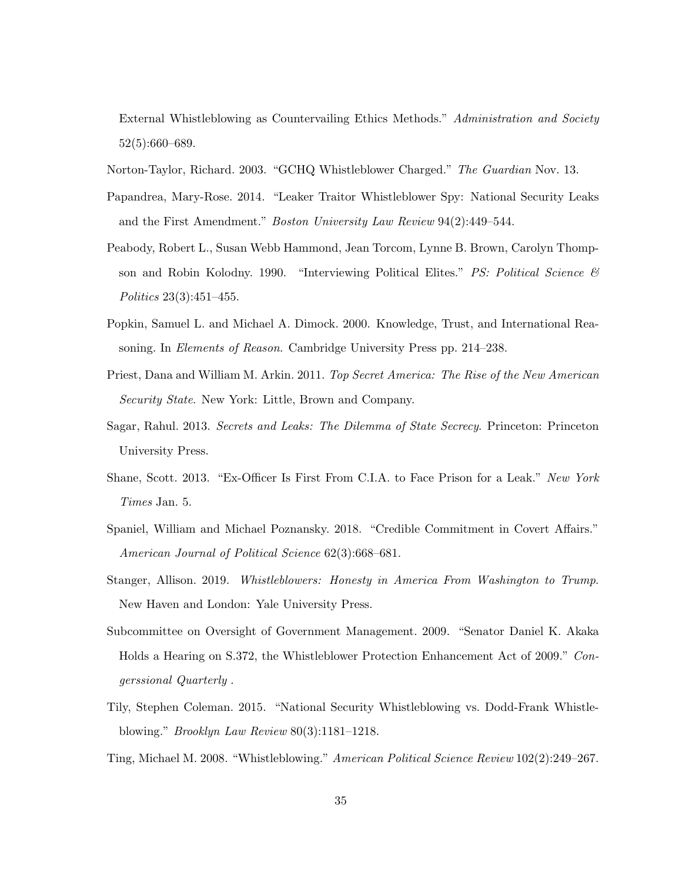External Whistleblowing as Countervailing Ethics Methods." Administration and Society 52(5):660–689.

- Norton-Taylor, Richard. 2003. "GCHQ Whistleblower Charged." The Guardian Nov. 13.
- Papandrea, Mary-Rose. 2014. "Leaker Traitor Whistleblower Spy: National Security Leaks and the First Amendment." Boston University Law Review 94(2):449–544.
- Peabody, Robert L., Susan Webb Hammond, Jean Torcom, Lynne B. Brown, Carolyn Thompson and Robin Kolodny. 1990. "Interviewing Political Elites." PS: Political Science  $\mathcal{B}$ Politics 23(3):451–455.
- Popkin, Samuel L. and Michael A. Dimock. 2000. Knowledge, Trust, and International Reasoning. In Elements of Reason. Cambridge University Press pp. 214–238.
- Priest, Dana and William M. Arkin. 2011. Top Secret America: The Rise of the New American Security State. New York: Little, Brown and Company.
- Sagar, Rahul. 2013. Secrets and Leaks: The Dilemma of State Secrecy. Princeton: Princeton University Press.
- Shane, Scott. 2013. "Ex-Officer Is First From C.I.A. to Face Prison for a Leak." New York Times Jan. 5.
- Spaniel, William and Michael Poznansky. 2018. "Credible Commitment in Covert Affairs." American Journal of Political Science 62(3):668–681.
- Stanger, Allison. 2019. Whistleblowers: Honesty in America From Washington to Trump. New Haven and London: Yale University Press.
- Subcommittee on Oversight of Government Management. 2009. "Senator Daniel K. Akaka Holds a Hearing on S.372, the Whistleblower Protection Enhancement Act of 2009." Congerssional Quarterly .
- Tily, Stephen Coleman. 2015. "National Security Whistleblowing vs. Dodd-Frank Whistleblowing." Brooklyn Law Review 80(3):1181–1218.
- Ting, Michael M. 2008. "Whistleblowing." American Political Science Review 102(2):249–267.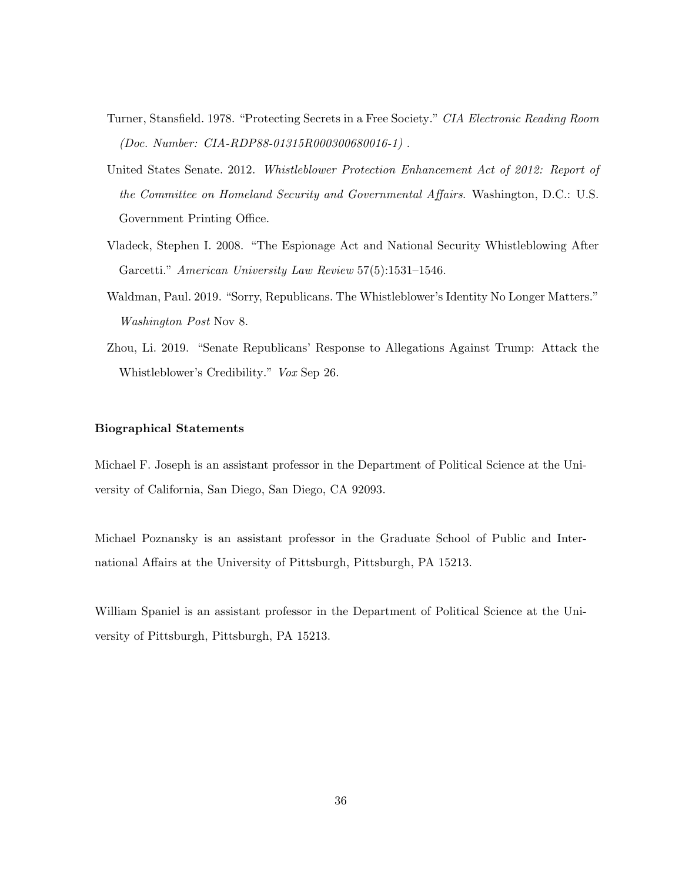- Turner, Stansfield. 1978. "Protecting Secrets in a Free Society." CIA Electronic Reading Room (Doc. Number: CIA-RDP88-01315R000300680016-1) .
- United States Senate. 2012. Whistleblower Protection Enhancement Act of 2012: Report of the Committee on Homeland Security and Governmental Affairs. Washington, D.C.: U.S. Government Printing Office.
- Vladeck, Stephen I. 2008. "The Espionage Act and National Security Whistleblowing After Garcetti." American University Law Review 57(5):1531–1546.
- Waldman, Paul. 2019. "Sorry, Republicans. The Whistleblower's Identity No Longer Matters." Washington Post Nov 8.
- Zhou, Li. 2019. "Senate Republicans' Response to Allegations Against Trump: Attack the Whistleblower's Credibility." Vox Sep 26.

## Biographical Statements

Michael F. Joseph is an assistant professor in the Department of Political Science at the University of California, San Diego, San Diego, CA 92093.

Michael Poznansky is an assistant professor in the Graduate School of Public and International Affairs at the University of Pittsburgh, Pittsburgh, PA 15213.

William Spaniel is an assistant professor in the Department of Political Science at the University of Pittsburgh, Pittsburgh, PA 15213.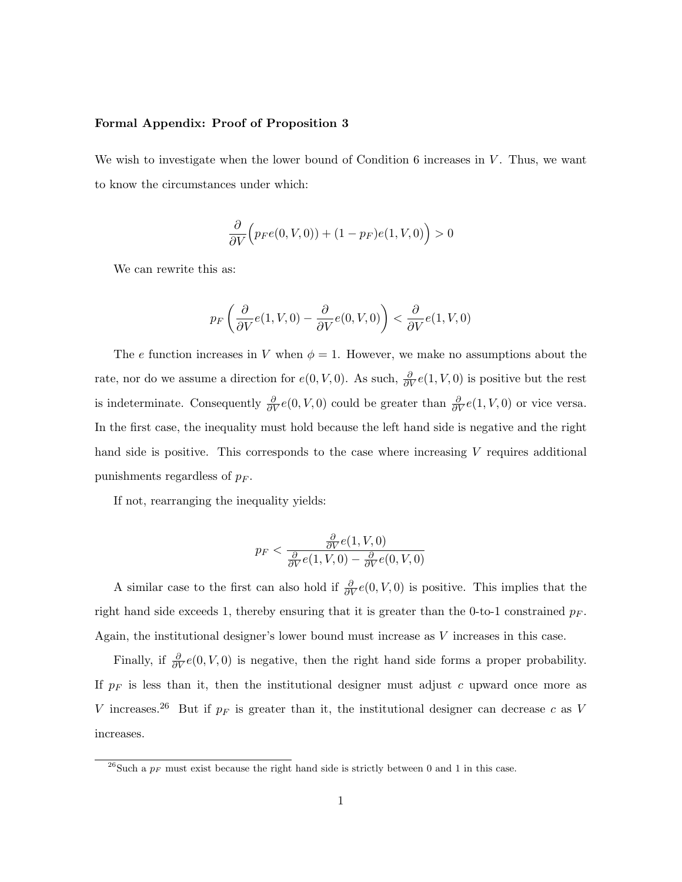## Formal Appendix: Proof of Proposition 3

We wish to investigate when the lower bound of Condition 6 increases in  $V$ . Thus, we want to know the circumstances under which:

$$
\frac{\partial}{\partial V}\Big(p_F e(0, V, 0)\big) + (1 - p_F)e(1, V, 0)\Big) > 0
$$

We can rewrite this as:

$$
p_F\left(\frac{\partial}{\partial V}e(1, V, 0) - \frac{\partial}{\partial V}e(0, V, 0)\right) < \frac{\partial}{\partial V}e(1, V, 0)
$$

The e function increases in V when  $\phi = 1$ . However, we make no assumptions about the rate, nor do we assume a direction for  $e(0, V, 0)$ . As such,  $\frac{\partial}{\partial V}e(1, V, 0)$  is positive but the rest is indeterminate. Consequently  $\frac{\partial}{\partial V}e(0, V, 0)$  could be greater than  $\frac{\partial}{\partial V}e(1, V, 0)$  or vice versa. In the first case, the inequality must hold because the left hand side is negative and the right hand side is positive. This corresponds to the case where increasing V requires additional punishments regardless of  $p_F$ .

If not, rearranging the inequality yields:

$$
p_F < \frac{\frac{\partial}{\partial V}e(1, V, 0)}{\frac{\partial}{\partial V}e(1, V, 0) - \frac{\partial}{\partial V}e(0, V, 0)}
$$

A similar case to the first can also hold if  $\frac{\partial}{\partial V}e(0, V, 0)$  is positive. This implies that the right hand side exceeds 1, thereby ensuring that it is greater than the 0-to-1 constrained  $p_F$ . Again, the institutional designer's lower bound must increase as V increases in this case.

Finally, if  $\frac{\partial}{\partial V}e(0, V, 0)$  is negative, then the right hand side forms a proper probability. If  $p_F$  is less than it, then the institutional designer must adjust c upward once more as V increases.<sup>26</sup> But if  $p_F$  is greater than it, the institutional designer can decrease c as V increases.

<sup>&</sup>lt;sup>26</sup>Such a  $p_F$  must exist because the right hand side is strictly between 0 and 1 in this case.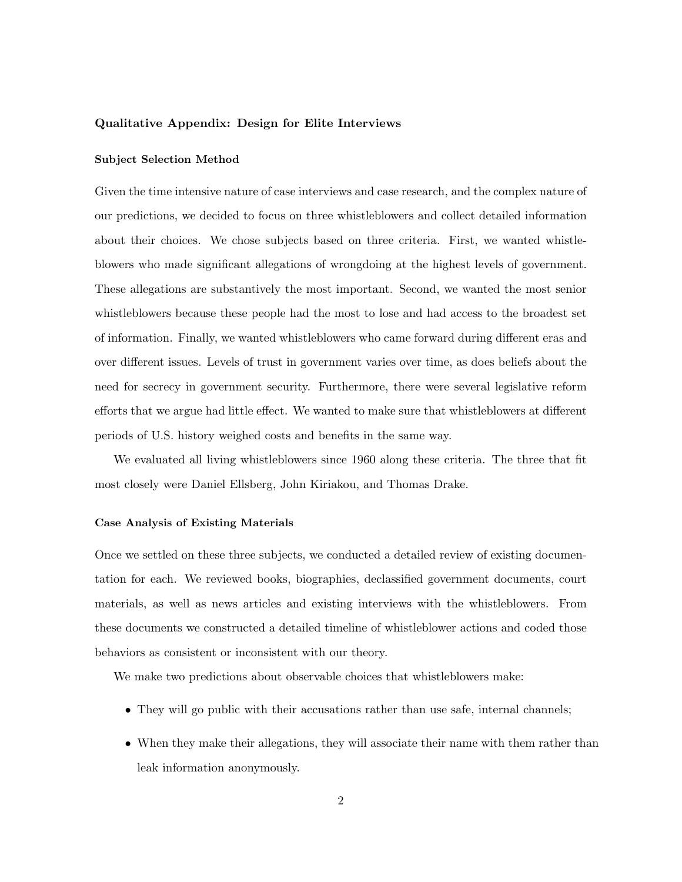## Qualitative Appendix: Design for Elite Interviews

## Subject Selection Method

Given the time intensive nature of case interviews and case research, and the complex nature of our predictions, we decided to focus on three whistleblowers and collect detailed information about their choices. We chose subjects based on three criteria. First, we wanted whistleblowers who made significant allegations of wrongdoing at the highest levels of government. These allegations are substantively the most important. Second, we wanted the most senior whistleblowers because these people had the most to lose and had access to the broadest set of information. Finally, we wanted whistleblowers who came forward during different eras and over different issues. Levels of trust in government varies over time, as does beliefs about the need for secrecy in government security. Furthermore, there were several legislative reform efforts that we argue had little effect. We wanted to make sure that whistleblowers at different periods of U.S. history weighed costs and benefits in the same way.

We evaluated all living whistleblowers since 1960 along these criteria. The three that fit most closely were Daniel Ellsberg, John Kiriakou, and Thomas Drake.

#### Case Analysis of Existing Materials

Once we settled on these three subjects, we conducted a detailed review of existing documentation for each. We reviewed books, biographies, declassified government documents, court materials, as well as news articles and existing interviews with the whistleblowers. From these documents we constructed a detailed timeline of whistleblower actions and coded those behaviors as consistent or inconsistent with our theory.

We make two predictions about observable choices that whistleblowers make:

- They will go public with their accusations rather than use safe, internal channels;
- When they make their allegations, they will associate their name with them rather than leak information anonymously.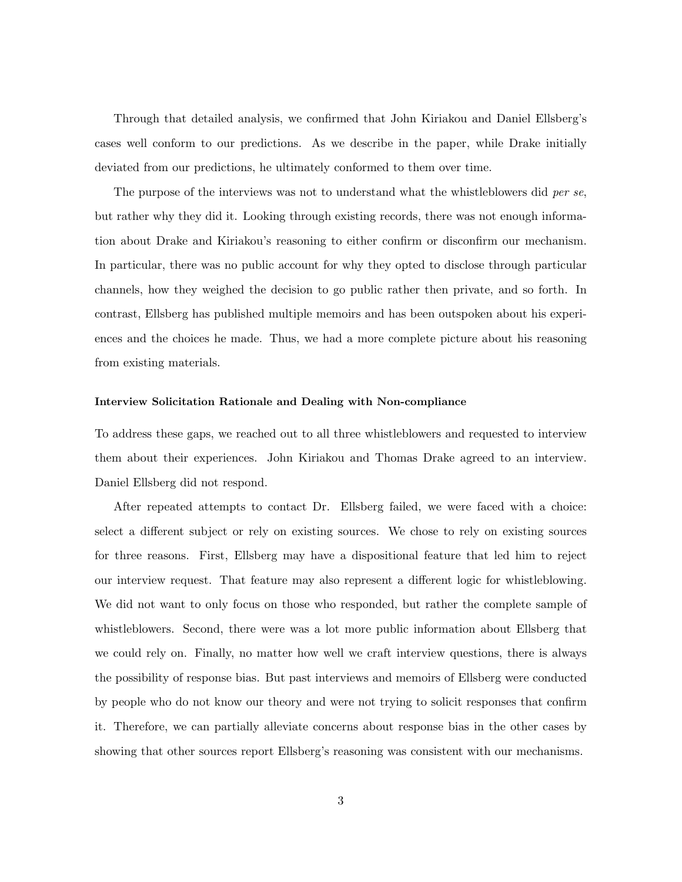Through that detailed analysis, we confirmed that John Kiriakou and Daniel Ellsberg's cases well conform to our predictions. As we describe in the paper, while Drake initially deviated from our predictions, he ultimately conformed to them over time.

The purpose of the interviews was not to understand what the whistleblowers did per se, but rather why they did it. Looking through existing records, there was not enough information about Drake and Kiriakou's reasoning to either confirm or disconfirm our mechanism. In particular, there was no public account for why they opted to disclose through particular channels, how they weighed the decision to go public rather then private, and so forth. In contrast, Ellsberg has published multiple memoirs and has been outspoken about his experiences and the choices he made. Thus, we had a more complete picture about his reasoning from existing materials.

#### Interview Solicitation Rationale and Dealing with Non-compliance

To address these gaps, we reached out to all three whistleblowers and requested to interview them about their experiences. John Kiriakou and Thomas Drake agreed to an interview. Daniel Ellsberg did not respond.

After repeated attempts to contact Dr. Ellsberg failed, we were faced with a choice: select a different subject or rely on existing sources. We chose to rely on existing sources for three reasons. First, Ellsberg may have a dispositional feature that led him to reject our interview request. That feature may also represent a different logic for whistleblowing. We did not want to only focus on those who responded, but rather the complete sample of whistleblowers. Second, there were was a lot more public information about Ellsberg that we could rely on. Finally, no matter how well we craft interview questions, there is always the possibility of response bias. But past interviews and memoirs of Ellsberg were conducted by people who do not know our theory and were not trying to solicit responses that confirm it. Therefore, we can partially alleviate concerns about response bias in the other cases by showing that other sources report Ellsberg's reasoning was consistent with our mechanisms.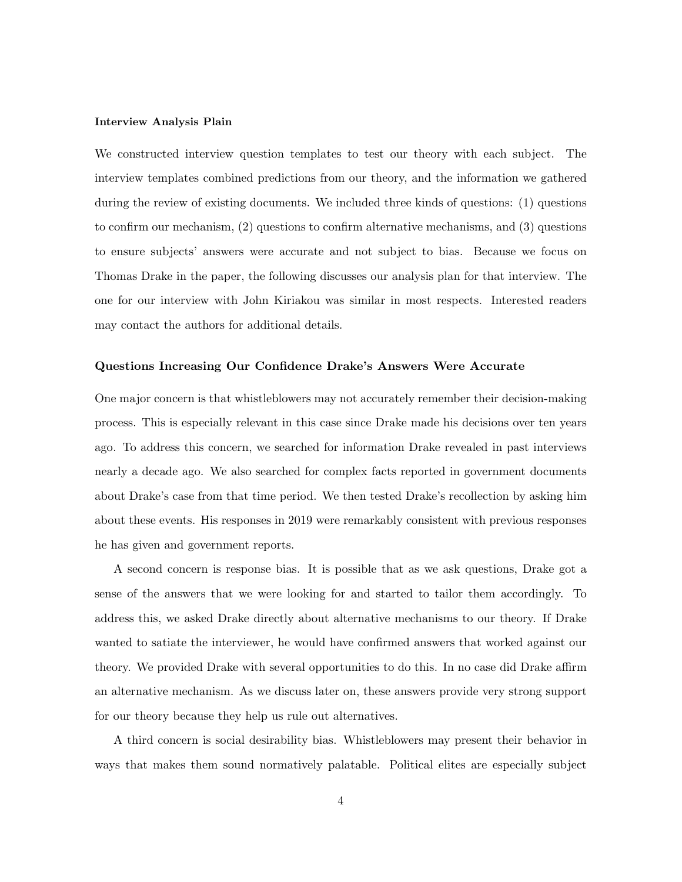#### Interview Analysis Plain

We constructed interview question templates to test our theory with each subject. The interview templates combined predictions from our theory, and the information we gathered during the review of existing documents. We included three kinds of questions: (1) questions to confirm our mechanism, (2) questions to confirm alternative mechanisms, and (3) questions to ensure subjects' answers were accurate and not subject to bias. Because we focus on Thomas Drake in the paper, the following discusses our analysis plan for that interview. The one for our interview with John Kiriakou was similar in most respects. Interested readers may contact the authors for additional details.

## Questions Increasing Our Confidence Drake's Answers Were Accurate

One major concern is that whistleblowers may not accurately remember their decision-making process. This is especially relevant in this case since Drake made his decisions over ten years ago. To address this concern, we searched for information Drake revealed in past interviews nearly a decade ago. We also searched for complex facts reported in government documents about Drake's case from that time period. We then tested Drake's recollection by asking him about these events. His responses in 2019 were remarkably consistent with previous responses he has given and government reports.

A second concern is response bias. It is possible that as we ask questions, Drake got a sense of the answers that we were looking for and started to tailor them accordingly. To address this, we asked Drake directly about alternative mechanisms to our theory. If Drake wanted to satiate the interviewer, he would have confirmed answers that worked against our theory. We provided Drake with several opportunities to do this. In no case did Drake affirm an alternative mechanism. As we discuss later on, these answers provide very strong support for our theory because they help us rule out alternatives.

A third concern is social desirability bias. Whistleblowers may present their behavior in ways that makes them sound normatively palatable. Political elites are especially subject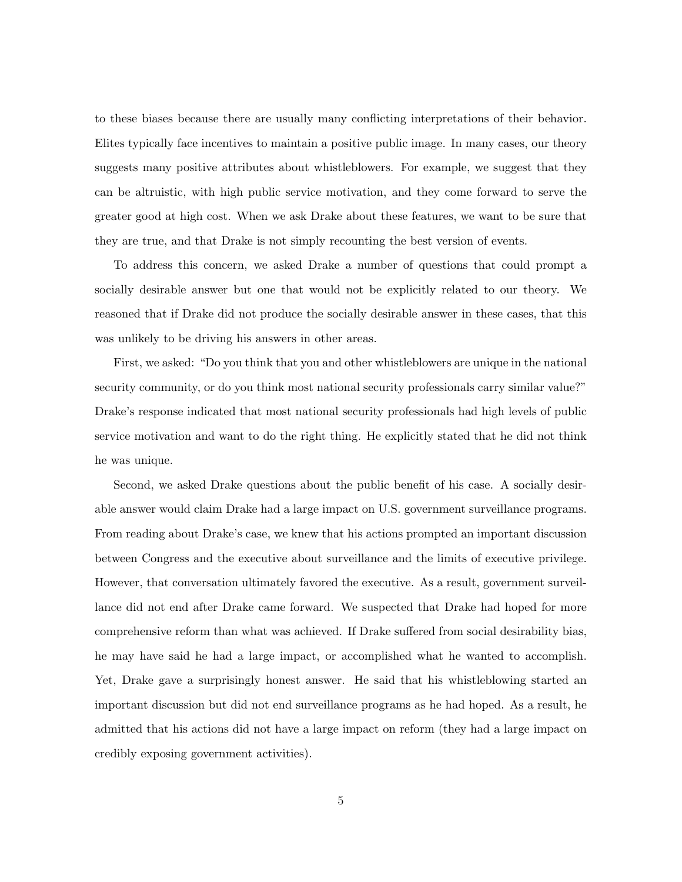to these biases because there are usually many conflicting interpretations of their behavior. Elites typically face incentives to maintain a positive public image. In many cases, our theory suggests many positive attributes about whistleblowers. For example, we suggest that they can be altruistic, with high public service motivation, and they come forward to serve the greater good at high cost. When we ask Drake about these features, we want to be sure that they are true, and that Drake is not simply recounting the best version of events.

To address this concern, we asked Drake a number of questions that could prompt a socially desirable answer but one that would not be explicitly related to our theory. We reasoned that if Drake did not produce the socially desirable answer in these cases, that this was unlikely to be driving his answers in other areas.

First, we asked: "Do you think that you and other whistleblowers are unique in the national security community, or do you think most national security professionals carry similar value?" Drake's response indicated that most national security professionals had high levels of public service motivation and want to do the right thing. He explicitly stated that he did not think he was unique.

Second, we asked Drake questions about the public benefit of his case. A socially desirable answer would claim Drake had a large impact on U.S. government surveillance programs. From reading about Drake's case, we knew that his actions prompted an important discussion between Congress and the executive about surveillance and the limits of executive privilege. However, that conversation ultimately favored the executive. As a result, government surveillance did not end after Drake came forward. We suspected that Drake had hoped for more comprehensive reform than what was achieved. If Drake suffered from social desirability bias, he may have said he had a large impact, or accomplished what he wanted to accomplish. Yet, Drake gave a surprisingly honest answer. He said that his whistleblowing started an important discussion but did not end surveillance programs as he had hoped. As a result, he admitted that his actions did not have a large impact on reform (they had a large impact on credibly exposing government activities).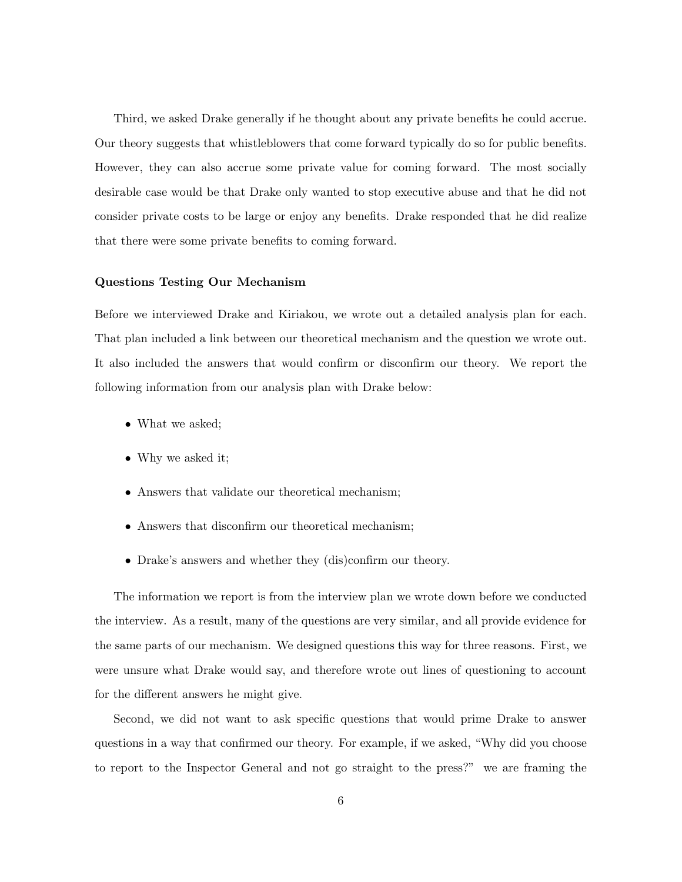Third, we asked Drake generally if he thought about any private benefits he could accrue. Our theory suggests that whistleblowers that come forward typically do so for public benefits. However, they can also accrue some private value for coming forward. The most socially desirable case would be that Drake only wanted to stop executive abuse and that he did not consider private costs to be large or enjoy any benefits. Drake responded that he did realize that there were some private benefits to coming forward.

#### Questions Testing Our Mechanism

Before we interviewed Drake and Kiriakou, we wrote out a detailed analysis plan for each. That plan included a link between our theoretical mechanism and the question we wrote out. It also included the answers that would confirm or disconfirm our theory. We report the following information from our analysis plan with Drake below:

- What we asked;
- Why we asked it;
- Answers that validate our theoretical mechanism;
- Answers that disconfirm our theoretical mechanism;
- Drake's answers and whether they (dis)confirm our theory.

The information we report is from the interview plan we wrote down before we conducted the interview. As a result, many of the questions are very similar, and all provide evidence for the same parts of our mechanism. We designed questions this way for three reasons. First, we were unsure what Drake would say, and therefore wrote out lines of questioning to account for the different answers he might give.

Second, we did not want to ask specific questions that would prime Drake to answer questions in a way that confirmed our theory. For example, if we asked, "Why did you choose to report to the Inspector General and not go straight to the press?" we are framing the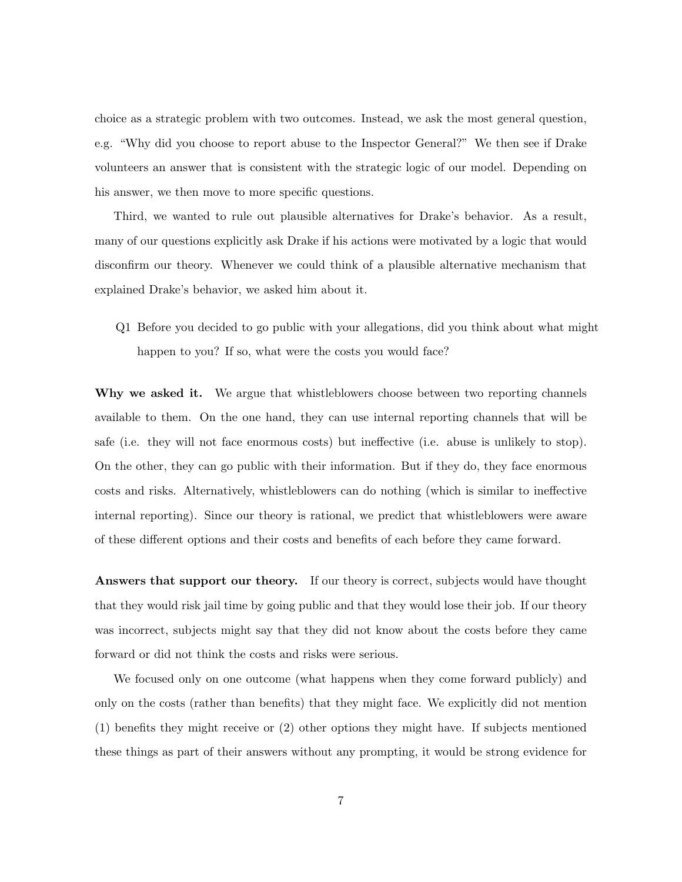choice as a strategic problem with two outcomes. Instead, we ask the most general question, e.g. "Why did you choose to report abuse to the Inspector General?" We then see if Drake volunteers an answer that is consistent with the strategic logic of our model. Depending on his answer, we then move to more specific questions.

Third, we wanted to rule out plausible alternatives for Drake's behavior. As a result, many of our questions explicitly ask Drake if his actions were motivated by a logic that would disconfirm our theory. Whenever we could think of a plausible alternative mechanism that explained Drake's behavior, we asked him about it.

Q1 Before you decided to go public with your allegations, did you think about what might happen to you? If so, what were the costs you would face?

Why we asked it. We argue that whistleblowers choose between two reporting channels available to them. On the one hand, they can use internal reporting channels that will be safe (i.e. they will not face enormous costs) but ineffective (i.e. abuse is unlikely to stop). On the other, they can go public with their information. But if they do, they face enormous costs and risks. Alternatively, whistleblowers can do nothing (which is similar to ineffective internal reporting). Since our theory is rational, we predict that whistleblowers were aware of these different options and their costs and benefits of each before they came forward.

Answers that support our theory. If our theory is correct, subjects would have thought that they would risk jail time by going public and that they would lose their job. If our theory was incorrect, subjects might say that they did not know about the costs before they came forward or did not think the costs and risks were serious.

We focused only on one outcome (what happens when they come forward publicly) and only on the costs (rather than benefits) that they might face. We explicitly did not mention (1) benefits they might receive or (2) other options they might have. If subjects mentioned these things as part of their answers without any prompting, it would be strong evidence for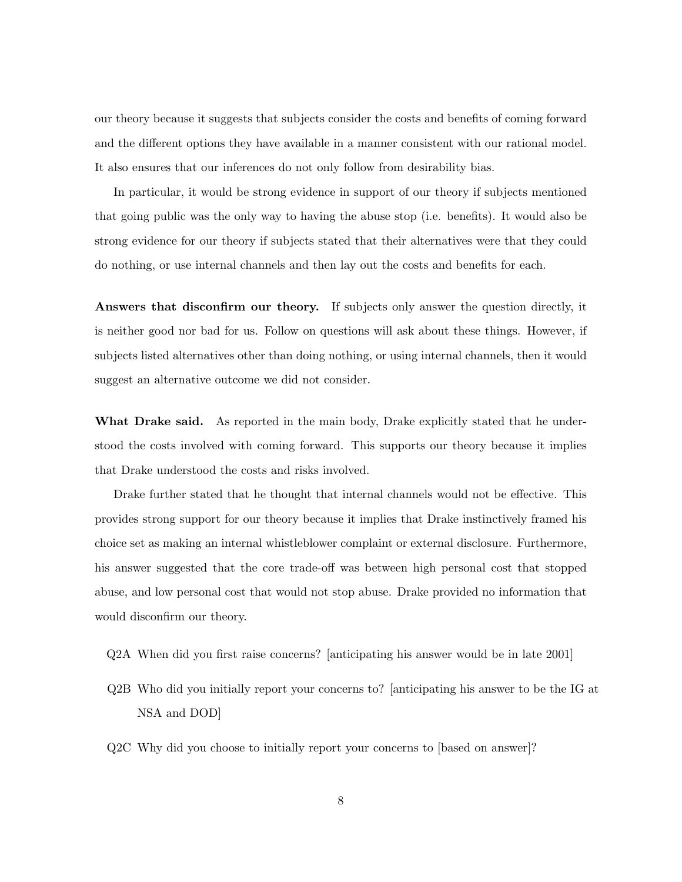our theory because it suggests that subjects consider the costs and benefits of coming forward and the different options they have available in a manner consistent with our rational model. It also ensures that our inferences do not only follow from desirability bias.

In particular, it would be strong evidence in support of our theory if subjects mentioned that going public was the only way to having the abuse stop (i.e. benefits). It would also be strong evidence for our theory if subjects stated that their alternatives were that they could do nothing, or use internal channels and then lay out the costs and benefits for each.

Answers that disconfirm our theory. If subjects only answer the question directly, it is neither good nor bad for us. Follow on questions will ask about these things. However, if subjects listed alternatives other than doing nothing, or using internal channels, then it would suggest an alternative outcome we did not consider.

What Drake said. As reported in the main body, Drake explicitly stated that he understood the costs involved with coming forward. This supports our theory because it implies that Drake understood the costs and risks involved.

Drake further stated that he thought that internal channels would not be effective. This provides strong support for our theory because it implies that Drake instinctively framed his choice set as making an internal whistleblower complaint or external disclosure. Furthermore, his answer suggested that the core trade-off was between high personal cost that stopped abuse, and low personal cost that would not stop abuse. Drake provided no information that would disconfirm our theory.

- Q2A When did you first raise concerns? [anticipating his answer would be in late 2001]
- Q2B Who did you initially report your concerns to? [anticipating his answer to be the IG at NSA and DOD]
- Q2C Why did you choose to initially report your concerns to [based on answer]?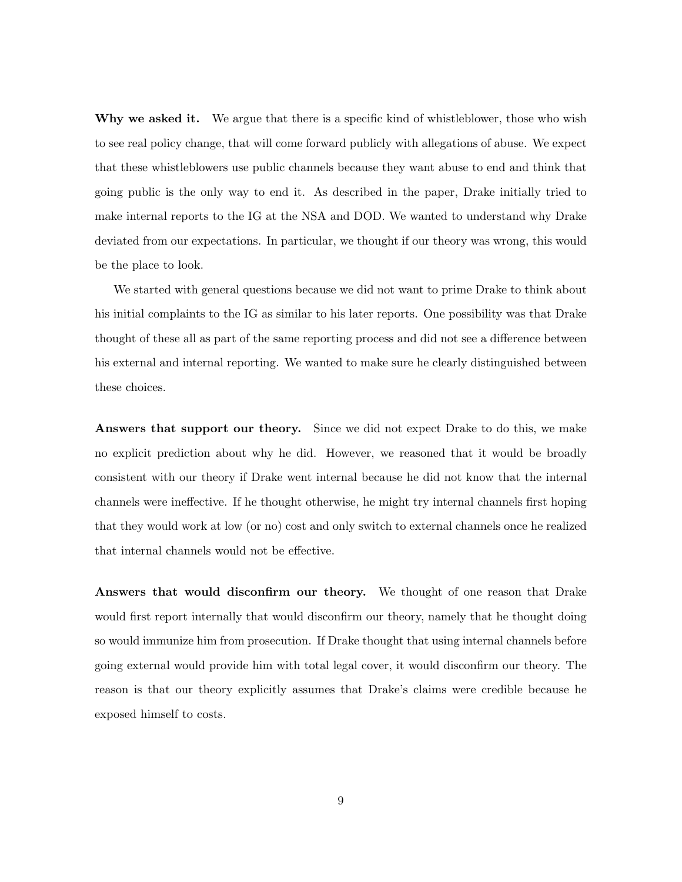Why we asked it. We argue that there is a specific kind of whistleblower, those who wish to see real policy change, that will come forward publicly with allegations of abuse. We expect that these whistleblowers use public channels because they want abuse to end and think that going public is the only way to end it. As described in the paper, Drake initially tried to make internal reports to the IG at the NSA and DOD. We wanted to understand why Drake deviated from our expectations. In particular, we thought if our theory was wrong, this would be the place to look.

We started with general questions because we did not want to prime Drake to think about his initial complaints to the IG as similar to his later reports. One possibility was that Drake thought of these all as part of the same reporting process and did not see a difference between his external and internal reporting. We wanted to make sure he clearly distinguished between these choices.

Answers that support our theory. Since we did not expect Drake to do this, we make no explicit prediction about why he did. However, we reasoned that it would be broadly consistent with our theory if Drake went internal because he did not know that the internal channels were ineffective. If he thought otherwise, he might try internal channels first hoping that they would work at low (or no) cost and only switch to external channels once he realized that internal channels would not be effective.

Answers that would disconfirm our theory. We thought of one reason that Drake would first report internally that would disconfirm our theory, namely that he thought doing so would immunize him from prosecution. If Drake thought that using internal channels before going external would provide him with total legal cover, it would disconfirm our theory. The reason is that our theory explicitly assumes that Drake's claims were credible because he exposed himself to costs.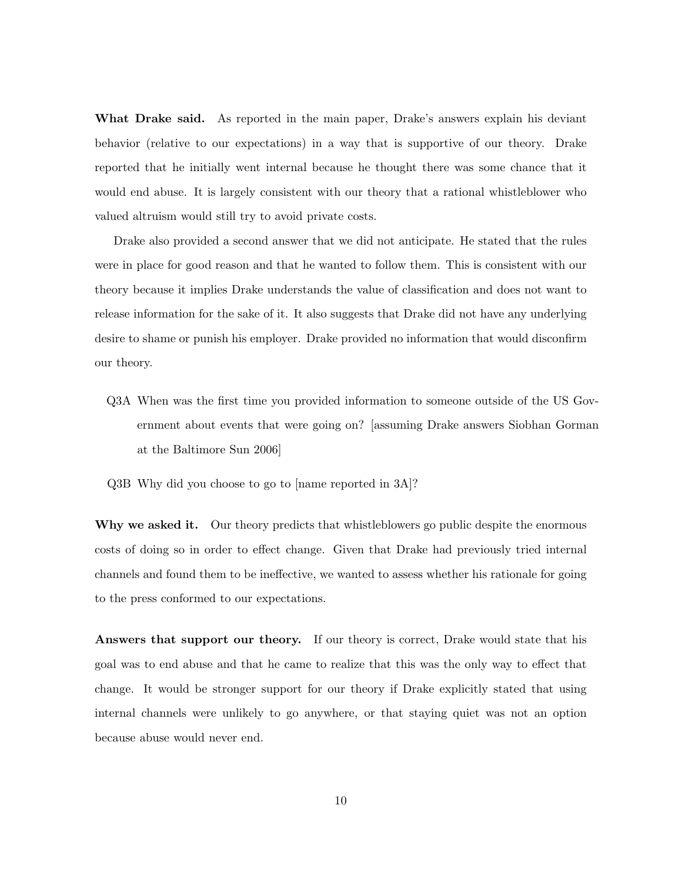What Drake said. As reported in the main paper, Drake's answers explain his deviant behavior (relative to our expectations) in a way that is supportive of our theory. Drake reported that he initially went internal because he thought there was some chance that it would end abuse. It is largely consistent with our theory that a rational whistleblower who valued altruism would still try to avoid private costs.

Drake also provided a second answer that we did not anticipate. He stated that the rules were in place for good reason and that he wanted to follow them. This is consistent with our theory because it implies Drake understands the value of classification and does not want to release information for the sake of it. It also suggests that Drake did not have any underlying desire to shame or punish his employer. Drake provided no information that would disconfirm our theory.

- Q3A When was the first time you provided information to someone outside of the US Government about events that were going on? [assuming Drake answers Siobhan Gorman at the Baltimore Sun 2006]
- Q3B Why did you choose to go to [name reported in 3A]?

Why we asked it. Our theory predicts that whistleblowers go public despite the enormous costs of doing so in order to effect change. Given that Drake had previously tried internal channels and found them to be ineffective, we wanted to assess whether his rationale for going to the press conformed to our expectations.

Answers that support our theory. If our theory is correct, Drake would state that his goal was to end abuse and that he came to realize that this was the only way to effect that change. It would be stronger support for our theory if Drake explicitly stated that using internal channels were unlikely to go anywhere, or that staying quiet was not an option because abuse would never end.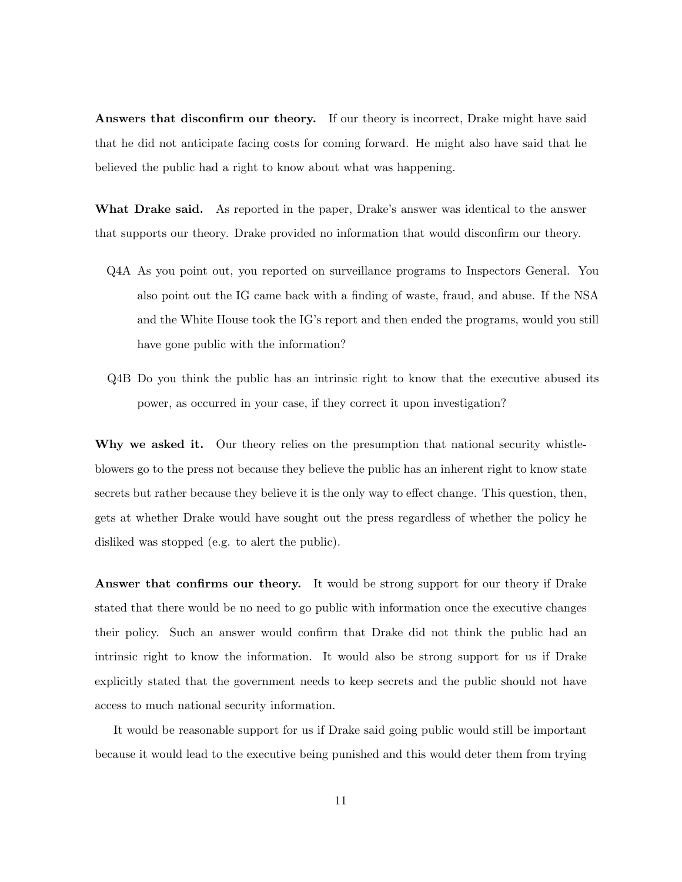Answers that disconfirm our theory. If our theory is incorrect, Drake might have said that he did not anticipate facing costs for coming forward. He might also have said that he believed the public had a right to know about what was happening.

What Drake said. As reported in the paper, Drake's answer was identical to the answer that supports our theory. Drake provided no information that would disconfirm our theory.

- Q4A As you point out, you reported on surveillance programs to Inspectors General. You also point out the IG came back with a finding of waste, fraud, and abuse. If the NSA and the White House took the IG's report and then ended the programs, would you still have gone public with the information?
- Q4B Do you think the public has an intrinsic right to know that the executive abused its power, as occurred in your case, if they correct it upon investigation?

Why we asked it. Our theory relies on the presumption that national security whistleblowers go to the press not because they believe the public has an inherent right to know state secrets but rather because they believe it is the only way to effect change. This question, then, gets at whether Drake would have sought out the press regardless of whether the policy he disliked was stopped (e.g. to alert the public).

Answer that confirms our theory. It would be strong support for our theory if Drake stated that there would be no need to go public with information once the executive changes their policy. Such an answer would confirm that Drake did not think the public had an intrinsic right to know the information. It would also be strong support for us if Drake explicitly stated that the government needs to keep secrets and the public should not have access to much national security information.

It would be reasonable support for us if Drake said going public would still be important because it would lead to the executive being punished and this would deter them from trying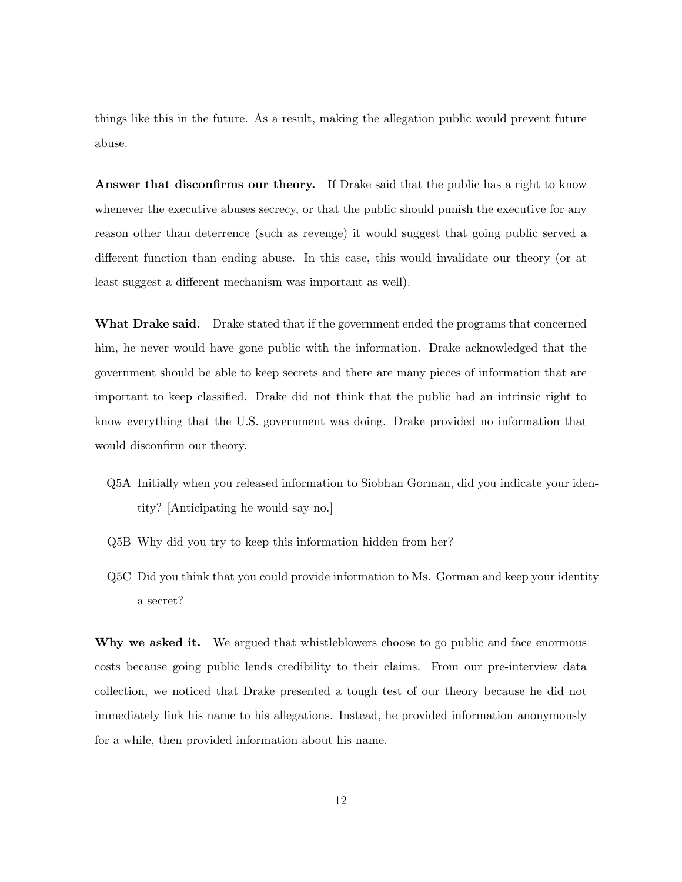things like this in the future. As a result, making the allegation public would prevent future abuse.

Answer that disconfirms our theory. If Drake said that the public has a right to know whenever the executive abuses secrecy, or that the public should punish the executive for any reason other than deterrence (such as revenge) it would suggest that going public served a different function than ending abuse. In this case, this would invalidate our theory (or at least suggest a different mechanism was important as well).

What Drake said. Drake stated that if the government ended the programs that concerned him, he never would have gone public with the information. Drake acknowledged that the government should be able to keep secrets and there are many pieces of information that are important to keep classified. Drake did not think that the public had an intrinsic right to know everything that the U.S. government was doing. Drake provided no information that would disconfirm our theory.

- Q5A Initially when you released information to Siobhan Gorman, did you indicate your identity? [Anticipating he would say no.]
- Q5B Why did you try to keep this information hidden from her?
- Q5C Did you think that you could provide information to Ms. Gorman and keep your identity a secret?

Why we asked it. We argued that whistleblowers choose to go public and face enormous costs because going public lends credibility to their claims. From our pre-interview data collection, we noticed that Drake presented a tough test of our theory because he did not immediately link his name to his allegations. Instead, he provided information anonymously for a while, then provided information about his name.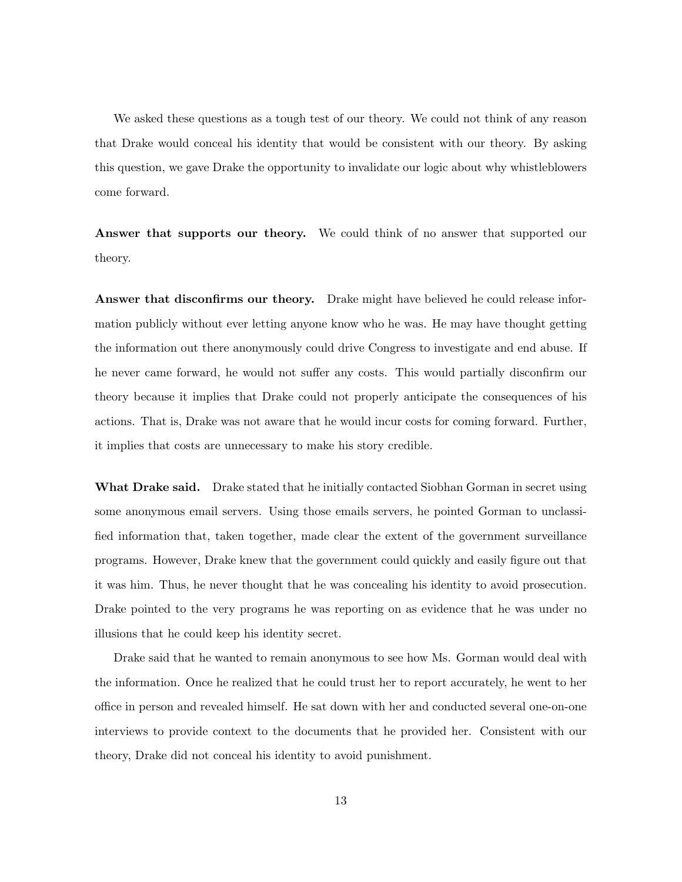We asked these questions as a tough test of our theory. We could not think of any reason that Drake would conceal his identity that would be consistent with our theory. By asking this question, we gave Drake the opportunity to invalidate our logic about why whistleblowers come forward.

Answer that supports our theory. We could think of no answer that supported our theory.

Answer that disconfirms our theory. Drake might have believed he could release information publicly without ever letting anyone know who he was. He may have thought getting the information out there anonymously could drive Congress to investigate and end abuse. If he never came forward, he would not suffer any costs. This would partially disconfirm our theory because it implies that Drake could not properly anticipate the consequences of his actions. That is, Drake was not aware that he would incur costs for coming forward. Further, it implies that costs are unnecessary to make his story credible.

What Drake said. Drake stated that he initially contacted Siobhan Gorman in secret using some anonymous email servers. Using those emails servers, he pointed Gorman to unclassified information that, taken together, made clear the extent of the government surveillance programs. However, Drake knew that the government could quickly and easily figure out that it was him. Thus, he never thought that he was concealing his identity to avoid prosecution. Drake pointed to the very programs he was reporting on as evidence that he was under no illusions that he could keep his identity secret.

Drake said that he wanted to remain anonymous to see how Ms. Gorman would deal with the information. Once he realized that he could trust her to report accurately, he went to her office in person and revealed himself. He sat down with her and conducted several one-on-one interviews to provide context to the documents that he provided her. Consistent with our theory, Drake did not conceal his identity to avoid punishment.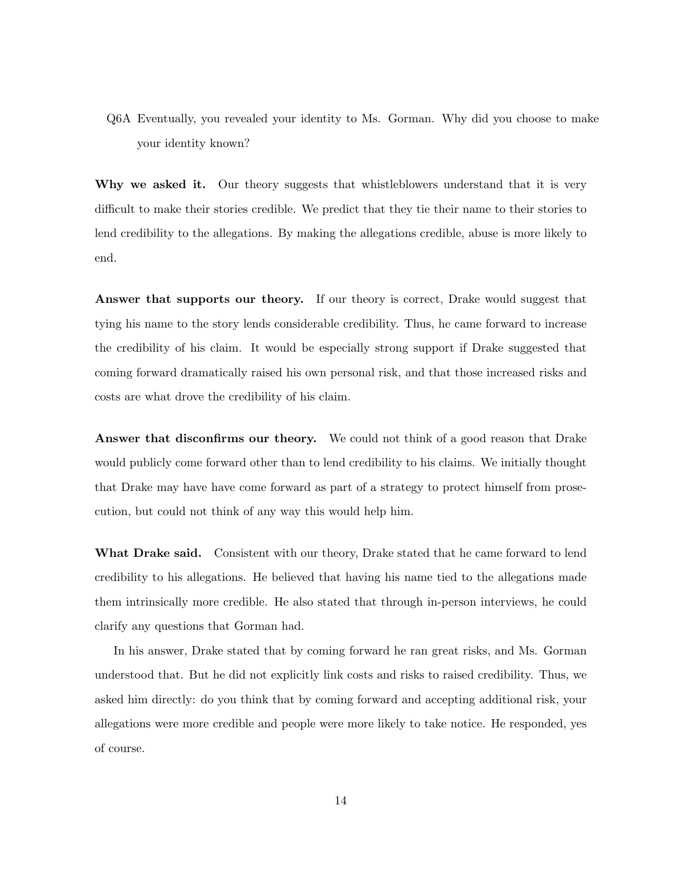Q6A Eventually, you revealed your identity to Ms. Gorman. Why did you choose to make your identity known?

Why we asked it. Our theory suggests that whistleblowers understand that it is very difficult to make their stories credible. We predict that they tie their name to their stories to lend credibility to the allegations. By making the allegations credible, abuse is more likely to end.

Answer that supports our theory. If our theory is correct, Drake would suggest that tying his name to the story lends considerable credibility. Thus, he came forward to increase the credibility of his claim. It would be especially strong support if Drake suggested that coming forward dramatically raised his own personal risk, and that those increased risks and costs are what drove the credibility of his claim.

Answer that disconfirms our theory. We could not think of a good reason that Drake would publicly come forward other than to lend credibility to his claims. We initially thought that Drake may have have come forward as part of a strategy to protect himself from prosecution, but could not think of any way this would help him.

What Drake said. Consistent with our theory, Drake stated that he came forward to lend credibility to his allegations. He believed that having his name tied to the allegations made them intrinsically more credible. He also stated that through in-person interviews, he could clarify any questions that Gorman had.

In his answer, Drake stated that by coming forward he ran great risks, and Ms. Gorman understood that. But he did not explicitly link costs and risks to raised credibility. Thus, we asked him directly: do you think that by coming forward and accepting additional risk, your allegations were more credible and people were more likely to take notice. He responded, yes of course.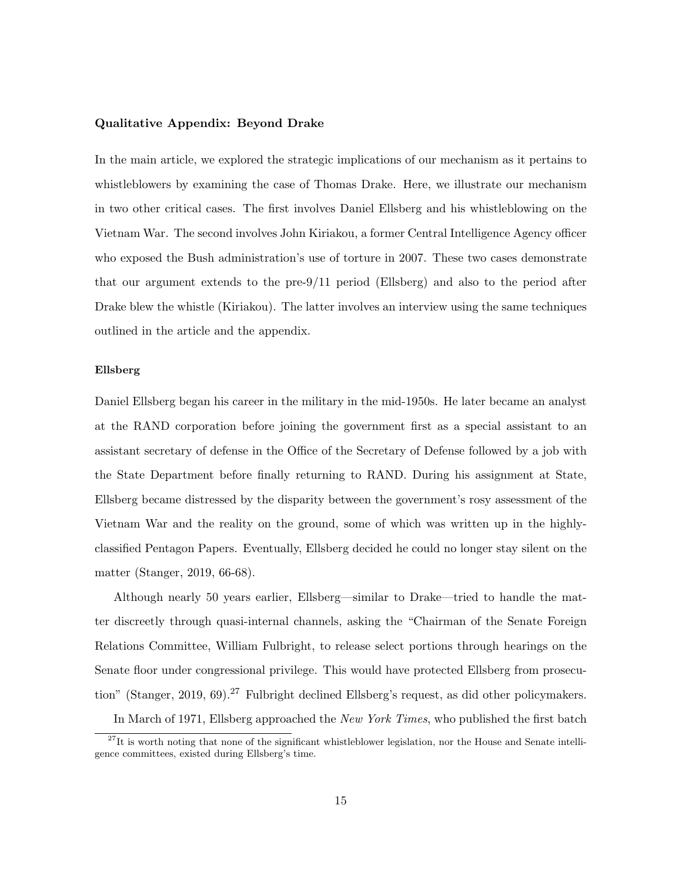#### Qualitative Appendix: Beyond Drake

In the main article, we explored the strategic implications of our mechanism as it pertains to whistleblowers by examining the case of Thomas Drake. Here, we illustrate our mechanism in two other critical cases. The first involves Daniel Ellsberg and his whistleblowing on the Vietnam War. The second involves John Kiriakou, a former Central Intelligence Agency officer who exposed the Bush administration's use of torture in 2007. These two cases demonstrate that our argument extends to the pre-9/11 period (Ellsberg) and also to the period after Drake blew the whistle (Kiriakou). The latter involves an interview using the same techniques outlined in the article and the appendix.

#### Ellsberg

Daniel Ellsberg began his career in the military in the mid-1950s. He later became an analyst at the RAND corporation before joining the government first as a special assistant to an assistant secretary of defense in the Office of the Secretary of Defense followed by a job with the State Department before finally returning to RAND. During his assignment at State, Ellsberg became distressed by the disparity between the government's rosy assessment of the Vietnam War and the reality on the ground, some of which was written up in the highlyclassified Pentagon Papers. Eventually, Ellsberg decided he could no longer stay silent on the matter (Stanger, 2019, 66-68).

Although nearly 50 years earlier, Ellsberg—similar to Drake—tried to handle the matter discreetly through quasi-internal channels, asking the "Chairman of the Senate Foreign Relations Committee, William Fulbright, to release select portions through hearings on the Senate floor under congressional privilege. This would have protected Ellsberg from prosecution" (Stanger, 2019, 69).<sup>27</sup> Fulbright declined Ellsberg's request, as did other policymakers.

In March of 1971, Ellsberg approached the New York Times, who published the first batch

 $27$ It is worth noting that none of the significant whistleblower legislation, nor the House and Senate intelligence committees, existed during Ellsberg's time.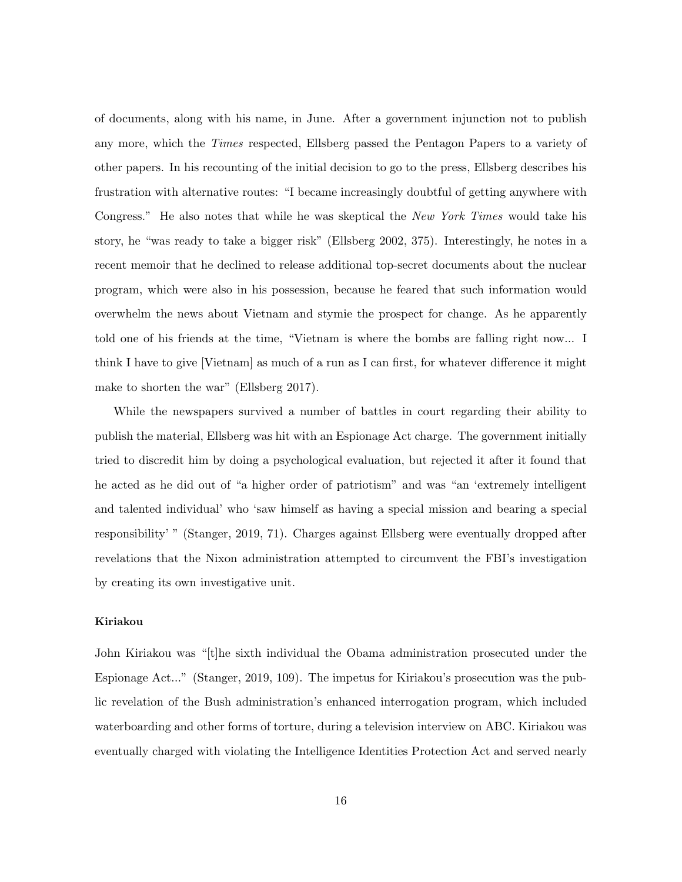of documents, along with his name, in June. After a government injunction not to publish any more, which the Times respected, Ellsberg passed the Pentagon Papers to a variety of other papers. In his recounting of the initial decision to go to the press, Ellsberg describes his frustration with alternative routes: "I became increasingly doubtful of getting anywhere with Congress." He also notes that while he was skeptical the New York Times would take his story, he "was ready to take a bigger risk" (Ellsberg 2002, 375). Interestingly, he notes in a recent memoir that he declined to release additional top-secret documents about the nuclear program, which were also in his possession, because he feared that such information would overwhelm the news about Vietnam and stymie the prospect for change. As he apparently told one of his friends at the time, "Vietnam is where the bombs are falling right now... I think I have to give [Vietnam] as much of a run as I can first, for whatever difference it might make to shorten the war" (Ellsberg 2017).

While the newspapers survived a number of battles in court regarding their ability to publish the material, Ellsberg was hit with an Espionage Act charge. The government initially tried to discredit him by doing a psychological evaluation, but rejected it after it found that he acted as he did out of "a higher order of patriotism" and was "an 'extremely intelligent and talented individual' who 'saw himself as having a special mission and bearing a special responsibility' " (Stanger, 2019, 71). Charges against Ellsberg were eventually dropped after revelations that the Nixon administration attempted to circumvent the FBI's investigation by creating its own investigative unit.

## Kiriakou

John Kiriakou was "[t]he sixth individual the Obama administration prosecuted under the Espionage Act..." (Stanger, 2019, 109). The impetus for Kiriakou's prosecution was the public revelation of the Bush administration's enhanced interrogation program, which included waterboarding and other forms of torture, during a television interview on ABC. Kiriakou was eventually charged with violating the Intelligence Identities Protection Act and served nearly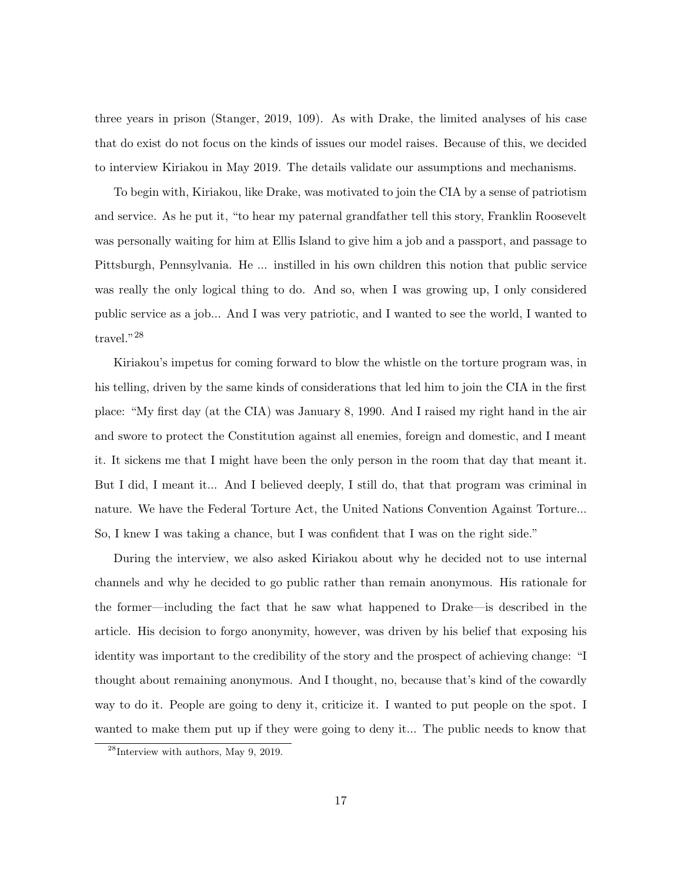three years in prison (Stanger, 2019, 109). As with Drake, the limited analyses of his case that do exist do not focus on the kinds of issues our model raises. Because of this, we decided to interview Kiriakou in May 2019. The details validate our assumptions and mechanisms.

To begin with, Kiriakou, like Drake, was motivated to join the CIA by a sense of patriotism and service. As he put it, "to hear my paternal grandfather tell this story, Franklin Roosevelt was personally waiting for him at Ellis Island to give him a job and a passport, and passage to Pittsburgh, Pennsylvania. He ... instilled in his own children this notion that public service was really the only logical thing to do. And so, when I was growing up, I only considered public service as a job... And I was very patriotic, and I wanted to see the world, I wanted to travel."<sup>28</sup>

Kiriakou's impetus for coming forward to blow the whistle on the torture program was, in his telling, driven by the same kinds of considerations that led him to join the CIA in the first place: "My first day (at the CIA) was January 8, 1990. And I raised my right hand in the air and swore to protect the Constitution against all enemies, foreign and domestic, and I meant it. It sickens me that I might have been the only person in the room that day that meant it. But I did, I meant it... And I believed deeply, I still do, that that program was criminal in nature. We have the Federal Torture Act, the United Nations Convention Against Torture... So, I knew I was taking a chance, but I was confident that I was on the right side."

During the interview, we also asked Kiriakou about why he decided not to use internal channels and why he decided to go public rather than remain anonymous. His rationale for the former—including the fact that he saw what happened to Drake—is described in the article. His decision to forgo anonymity, however, was driven by his belief that exposing his identity was important to the credibility of the story and the prospect of achieving change: "I thought about remaining anonymous. And I thought, no, because that's kind of the cowardly way to do it. People are going to deny it, criticize it. I wanted to put people on the spot. I wanted to make them put up if they were going to deny it... The public needs to know that

 $^{28}$ Interview with authors, May 9, 2019.